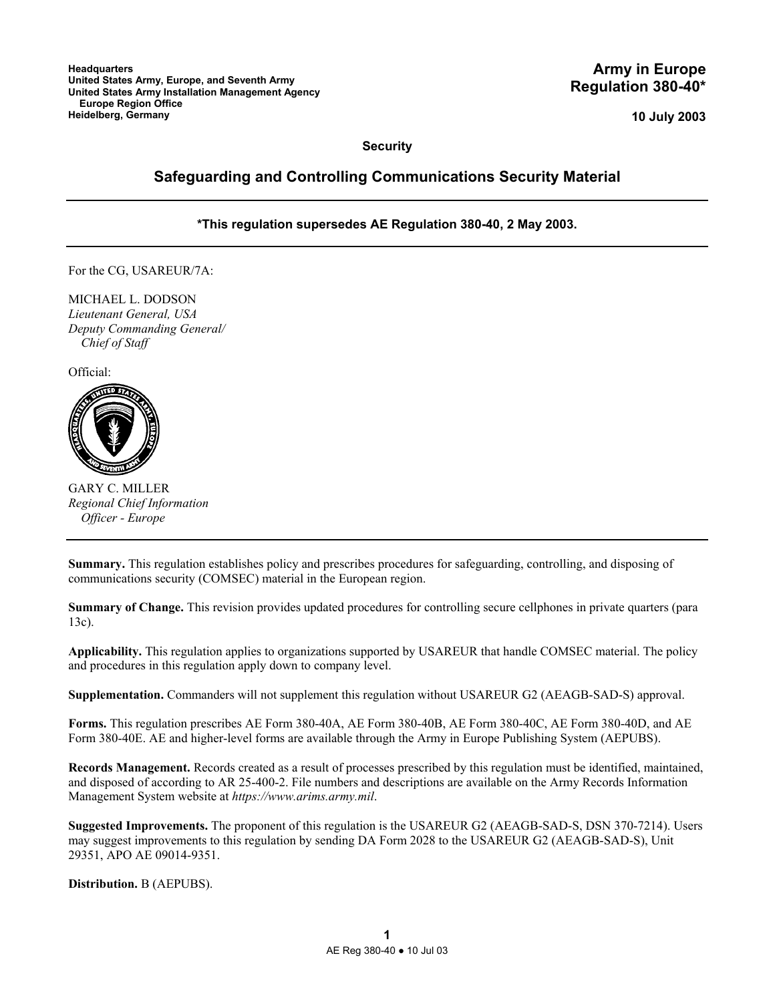**10 July 2003**

**Security** 

# **Safeguarding and Controlling Communications Security Material**

# **\*This regulation supersedes AE Regulation 380-40, 2 May 2003.**

For the CG, USAREUR/7A:

MICHAEL L. DODSON *Lieutenant General, USA Deputy Commanding General/ Chief of Staff*

Official:



GARY C. MILLER *Regional Chief Information Officer - Europe*

**Summary.** This regulation establishes policy and prescribes procedures for safeguarding, controlling, and disposing of communications security (COMSEC) material in the European region.

**Summary of Change.** This revision provides updated procedures for controlling secure cellphones in private quarters (para 13c).

**Applicability.** This regulation applies to organizations supported by USAREUR that handle COMSEC material. The policy and procedures in this regulation apply down to company level.

**Supplementation.** Commanders will not supplement this regulation without USAREUR G2 (AEAGB-SAD-S) approval.

**Forms.** This regulation prescribes AE Form 380-40A, AE Form 380-40B, AE Form 380-40C, AE Form 380-40D, and AE Form 380-40E. AE and higher-level forms are available through the Army in Europe Publishing System (AEPUBS).

**Records Management.** Records created as a result of processes prescribed by this regulation must be identified, maintained, and disposed of according to AR 25-400-2. File numbers and descriptions are available on the Army Records Information Management System website at *https://www.arims.army.mil*.

**Suggested Improvements.** The proponent of this regulation is the USAREUR G2 (AEAGB-SAD-S, DSN 370-7214). Users may suggest improvements to this regulation by sending DA Form 2028 to the USAREUR G2 (AEAGB-SAD-S), Unit 29351, APO AE 09014-9351.

**Distribution.** B (AEPUBS).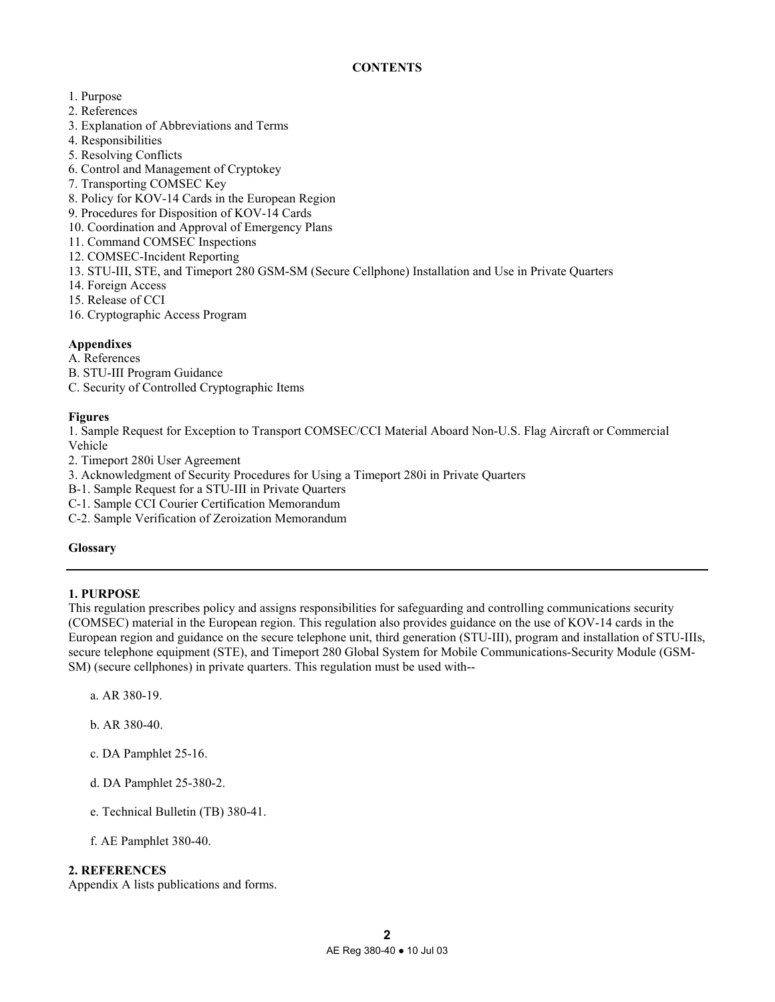# **CONTENTS**

- 1. Purpose
- 2. References
- 3. Explanation of Abbreviations and Terms
- 4. Responsibilities
- 5. Resolving Conflicts
- 6. Control and Management of Cryptokey
- 7. Transporting COMSEC Key
- 8. Policy for KOV-14 Cards in the European Region
- 9. Procedures for Disposition of KOV-14 Cards
- 10. Coordination and Approval of Emergency Plans
- 11. Command COMSEC Inspections
- 12. COMSEC-Incident Reporting
- 13. STU-III, STE, and Timeport 280 GSM-SM (Secure Cellphone) Installation and Use in Private Quarters
- 14. Foreign Access
- 15. Release of CCI
- 16. Cryptographic Access Program

# **Appendixes**

# A. References

- B. STU-III Program Guidance
- C. Security of Controlled Cryptographic Items

# **Figures**

1. Sample Request for Exception to Transport COMSEC/CCI Material Aboard Non-U.S. Flag Aircraft or Commercial Vehicle

2. Timeport 280i User Agreement

3. Acknowledgment of Security Procedures for Using a Timeport 280i in Private Quarters

- B-1. Sample Request for a STU-III in Private Quarters
- C-1. Sample CCI Courier Certification Memorandum
- C-2. Sample Verification of Zeroization Memorandum

# **Glossary**

# **1. PURPOSE**

This regulation prescribes policy and assigns responsibilities for safeguarding and controlling communications security (COMSEC) material in the European region. This regulation also provides guidance on the use of KOV-14 cards in the European region and guidance on the secure telephone unit, third generation (STU-III), program and installation of STU-IIIs, secure telephone equipment (STE), and Timeport 280 Global System for Mobile Communications-Security Module (GSM-SM) (secure cellphones) in private quarters. This regulation must be used with--

- a. AR 380-19.
- b. AR 380-40.
- c. DA Pamphlet 25-16.
- d. DA Pamphlet 25-380-2.
- e. Technical Bulletin (TB) 380-41.
- f. AE Pamphlet 380-40.

# **2. REFERENCES**

Appendix A lists publications and forms.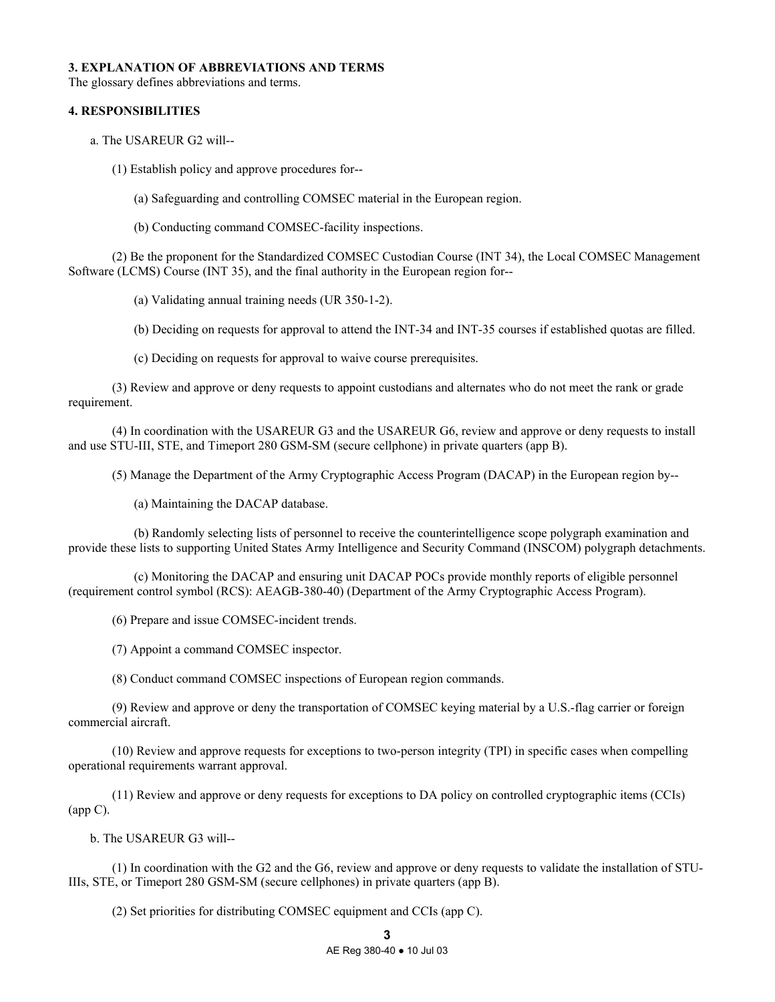## **3. EXPLANATION OF ABBREVIATIONS AND TERMS**

The glossary defines abbreviations and terms.

# **4. RESPONSIBILITIES**

a. The USAREUR G2 will--

(1) Establish policy and approve procedures for--

(a) Safeguarding and controlling COMSEC material in the European region.

(b) Conducting command COMSEC-facility inspections.

 (2) Be the proponent for the Standardized COMSEC Custodian Course (INT 34), the Local COMSEC Management Software (LCMS) Course (INT 35), and the final authority in the European region for--

(a) Validating annual training needs (UR 350-1-2).

(b) Deciding on requests for approval to attend the INT-34 and INT-35 courses if established quotas are filled.

(c) Deciding on requests for approval to waive course prerequisites.

 (3) Review and approve or deny requests to appoint custodians and alternates who do not meet the rank or grade requirement.

 (4) In coordination with the USAREUR G3 and the USAREUR G6, review and approve or deny requests to install and use STU-III, STE, and Timeport 280 GSM-SM (secure cellphone) in private quarters (app B).

(5) Manage the Department of the Army Cryptographic Access Program (DACAP) in the European region by--

(a) Maintaining the DACAP database.

 (b) Randomly selecting lists of personnel to receive the counterintelligence scope polygraph examination and provide these lists to supporting United States Army Intelligence and Security Command (INSCOM) polygraph detachments.

 (c) Monitoring the DACAP and ensuring unit DACAP POCs provide monthly reports of eligible personnel (requirement control symbol (RCS): AEAGB-380-40) (Department of the Army Cryptographic Access Program).

(6) Prepare and issue COMSEC-incident trends.

(7) Appoint a command COMSEC inspector.

(8) Conduct command COMSEC inspections of European region commands.

 (9) Review and approve or deny the transportation of COMSEC keying material by a U.S.-flag carrier or foreign commercial aircraft.

 (10) Review and approve requests for exceptions to two-person integrity (TPI) in specific cases when compelling operational requirements warrant approval.

 (11) Review and approve or deny requests for exceptions to DA policy on controlled cryptographic items (CCIs) (app C).

b. The USAREUR G3 will--

 (1) In coordination with the G2 and the G6, review and approve or deny requests to validate the installation of STU-IIIs, STE, or Timeport 280 GSM-SM (secure cellphones) in private quarters (app B).

(2) Set priorities for distributing COMSEC equipment and CCIs (app C).

AE Reg 380-40 ● 10 Jul 03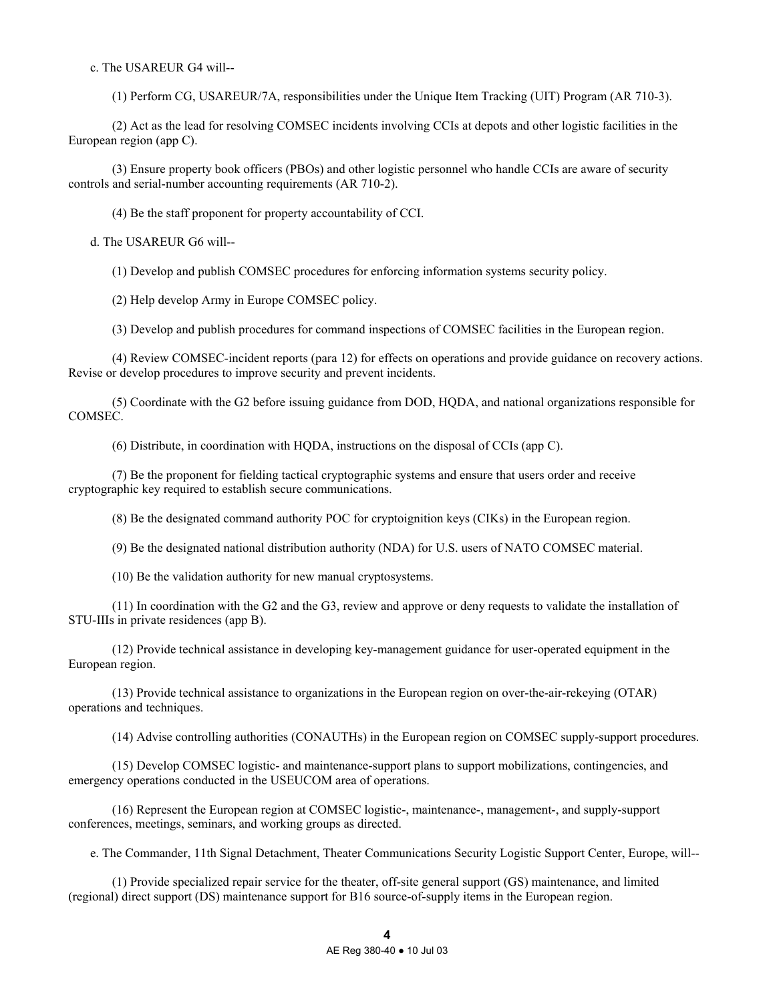c. The USAREUR G4 will--

(1) Perform CG, USAREUR/7A, responsibilities under the Unique Item Tracking (UIT) Program (AR 710-3).

 (2) Act as the lead for resolving COMSEC incidents involving CCIs at depots and other logistic facilities in the European region (app C).

 (3) Ensure property book officers (PBOs) and other logistic personnel who handle CCIs are aware of security controls and serial-number accounting requirements (AR 710-2).

(4) Be the staff proponent for property accountability of CCI.

d. The USAREUR G6 will--

(1) Develop and publish COMSEC procedures for enforcing information systems security policy.

(2) Help develop Army in Europe COMSEC policy.

(3) Develop and publish procedures for command inspections of COMSEC facilities in the European region.

 (4) Review COMSEC-incident reports (para 12) for effects on operations and provide guidance on recovery actions. Revise or develop procedures to improve security and prevent incidents.

 (5) Coordinate with the G2 before issuing guidance from DOD, HQDA, and national organizations responsible for COMSEC.

(6) Distribute, in coordination with HQDA, instructions on the disposal of CCIs (app C).

 (7) Be the proponent for fielding tactical cryptographic systems and ensure that users order and receive cryptographic key required to establish secure communications.

(8) Be the designated command authority POC for cryptoignition keys (CIKs) in the European region.

(9) Be the designated national distribution authority (NDA) for U.S. users of NATO COMSEC material.

(10) Be the validation authority for new manual cryptosystems.

 (11) In coordination with the G2 and the G3, review and approve or deny requests to validate the installation of STU-IIIs in private residences (app B).

 (12) Provide technical assistance in developing key-management guidance for user-operated equipment in the European region.

 (13) Provide technical assistance to organizations in the European region on over-the-air-rekeying (OTAR) operations and techniques.

(14) Advise controlling authorities (CONAUTHs) in the European region on COMSEC supply-support procedures.

 (15) Develop COMSEC logistic- and maintenance-support plans to support mobilizations, contingencies, and emergency operations conducted in the USEUCOM area of operations.

 (16) Represent the European region at COMSEC logistic-, maintenance-, management-, and supply-support conferences, meetings, seminars, and working groups as directed.

e. The Commander, 11th Signal Detachment, Theater Communications Security Logistic Support Center, Europe, will--

 (1) Provide specialized repair service for the theater, off-site general support (GS) maintenance, and limited (regional) direct support (DS) maintenance support for B16 source-of-supply items in the European region.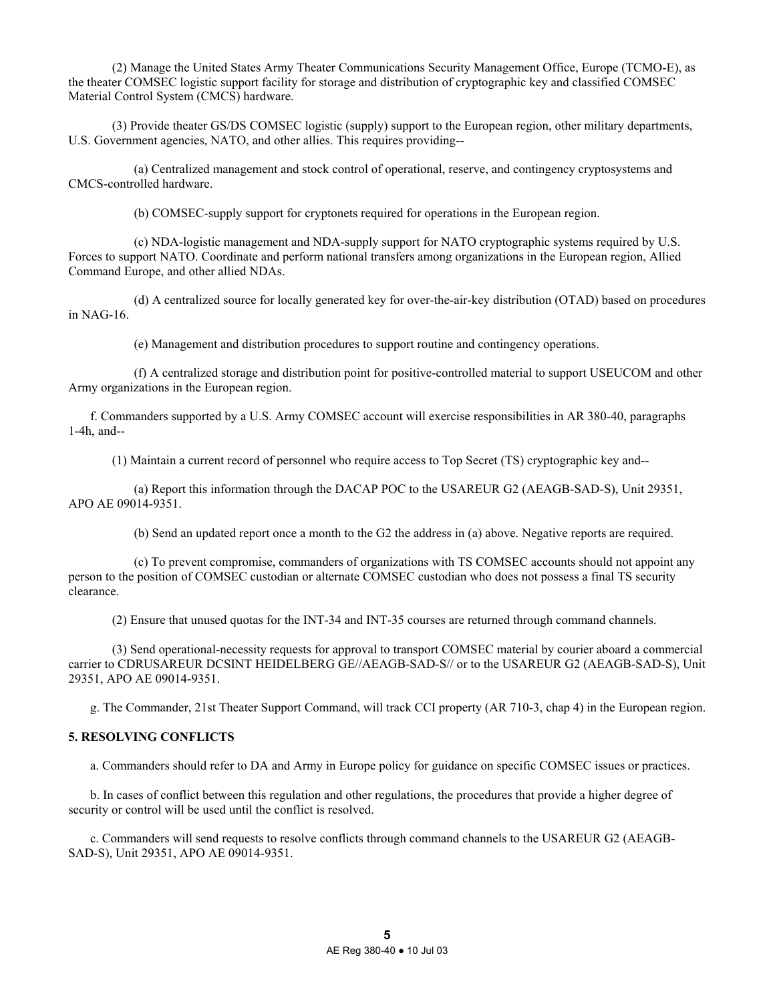(2) Manage the United States Army Theater Communications Security Management Office, Europe (TCMO-E), as the theater COMSEC logistic support facility for storage and distribution of cryptographic key and classified COMSEC Material Control System (CMCS) hardware.

 (3) Provide theater GS/DS COMSEC logistic (supply) support to the European region, other military departments, U.S. Government agencies, NATO, and other allies. This requires providing--

 (a) Centralized management and stock control of operational, reserve, and contingency cryptosystems and CMCS-controlled hardware.

(b) COMSEC-supply support for cryptonets required for operations in the European region.

 (c) NDA-logistic management and NDA-supply support for NATO cryptographic systems required by U.S. Forces to support NATO. Coordinate and perform national transfers among organizations in the European region, Allied Command Europe, and other allied NDAs.

 (d) A centralized source for locally generated key for over-the-air-key distribution (OTAD) based on procedures in NAG-16.

(e) Management and distribution procedures to support routine and contingency operations.

 (f) A centralized storage and distribution point for positive-controlled material to support USEUCOM and other Army organizations in the European region.

 f. Commanders supported by a U.S. Army COMSEC account will exercise responsibilities in AR 380-40, paragraphs 1-4h, and--

(1) Maintain a current record of personnel who require access to Top Secret (TS) cryptographic key and--

 (a) Report this information through the DACAP POC to the USAREUR G2 (AEAGB-SAD-S), Unit 29351, APO AE 09014-9351.

(b) Send an updated report once a month to the G2 the address in (a) above. Negative reports are required.

 (c) To prevent compromise, commanders of organizations with TS COMSEC accounts should not appoint any person to the position of COMSEC custodian or alternate COMSEC custodian who does not possess a final TS security clearance.

(2) Ensure that unused quotas for the INT-34 and INT-35 courses are returned through command channels.

 (3) Send operational-necessity requests for approval to transport COMSEC material by courier aboard a commercial carrier to CDRUSAREUR DCSINT HEIDELBERG GE//AEAGB-SAD-S// or to the USAREUR G2 (AEAGB-SAD-S), Unit 29351, APO AE 09014-9351.

g. The Commander, 21st Theater Support Command, will track CCI property (AR 710-3, chap 4) in the European region.

## **5. RESOLVING CONFLICTS**

a. Commanders should refer to DA and Army in Europe policy for guidance on specific COMSEC issues or practices.

 b. In cases of conflict between this regulation and other regulations, the procedures that provide a higher degree of security or control will be used until the conflict is resolved.

 c. Commanders will send requests to resolve conflicts through command channels to the USAREUR G2 (AEAGB-SAD-S), Unit 29351, APO AE 09014-9351.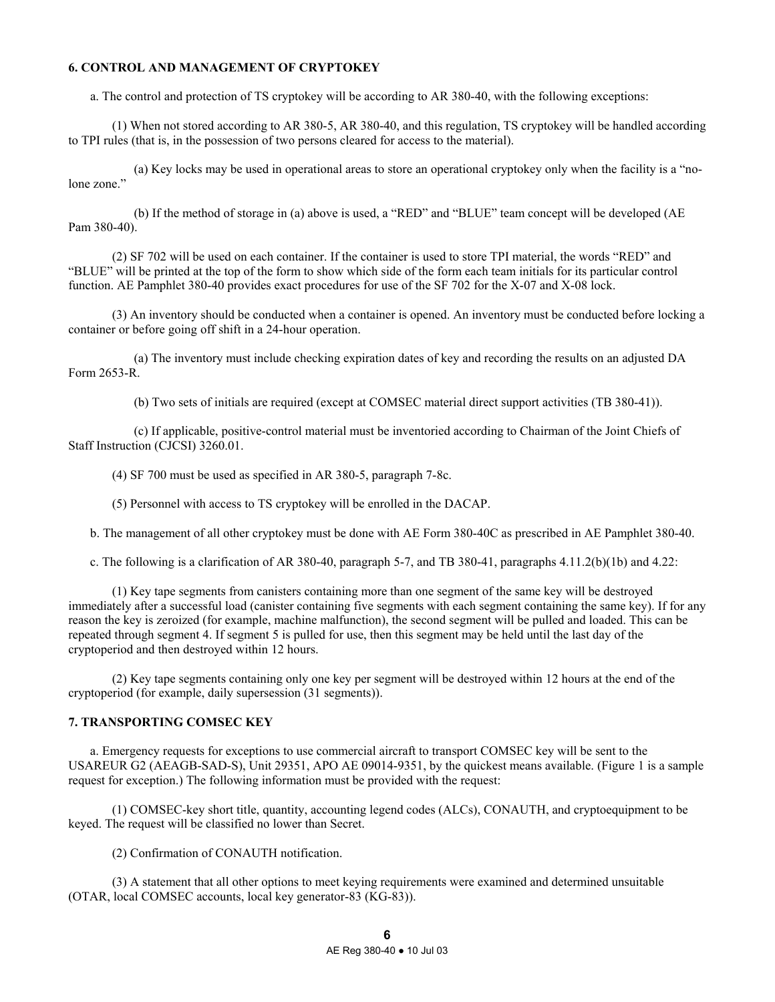### **6. CONTROL AND MANAGEMENT OF CRYPTOKEY**

a. The control and protection of TS cryptokey will be according to AR 380-40, with the following exceptions:

 (1) When not stored according to AR 380-5, AR 380-40, and this regulation, TS cryptokey will be handled according to TPI rules (that is, in the possession of two persons cleared for access to the material).

 (a) Key locks may be used in operational areas to store an operational cryptokey only when the facility is a "nolone zone."

 (b) If the method of storage in (a) above is used, a "RED" and "BLUE" team concept will be developed (AE Pam 380-40).

 (2) SF 702 will be used on each container. If the container is used to store TPI material, the words "RED" and "BLUE" will be printed at the top of the form to show which side of the form each team initials for its particular control function. AE Pamphlet 380-40 provides exact procedures for use of the SF 702 for the X-07 and X-08 lock.

 (3) An inventory should be conducted when a container is opened. An inventory must be conducted before locking a container or before going off shift in a 24-hour operation.

 (a) The inventory must include checking expiration dates of key and recording the results on an adjusted DA Form 2653-R.

(b) Two sets of initials are required (except at COMSEC material direct support activities (TB 380-41)).

 (c) If applicable, positive-control material must be inventoried according to Chairman of the Joint Chiefs of Staff Instruction (CJCSI) 3260.01.

(4) SF 700 must be used as specified in AR 380-5, paragraph 7-8c.

(5) Personnel with access to TS cryptokey will be enrolled in the DACAP.

b. The management of all other cryptokey must be done with AE Form 380-40C as prescribed in AE Pamphlet 380-40.

c. The following is a clarification of AR 380-40, paragraph 5-7, and TB 380-41, paragraphs 4.11.2(b)(1b) and 4.22:

 (1) Key tape segments from canisters containing more than one segment of the same key will be destroyed immediately after a successful load (canister containing five segments with each segment containing the same key). If for any reason the key is zeroized (for example, machine malfunction), the second segment will be pulled and loaded. This can be repeated through segment 4. If segment 5 is pulled for use, then this segment may be held until the last day of the cryptoperiod and then destroyed within 12 hours.

 (2) Key tape segments containing only one key per segment will be destroyed within 12 hours at the end of the cryptoperiod (for example, daily supersession (31 segments)).

# **7. TRANSPORTING COMSEC KEY**

 a. Emergency requests for exceptions to use commercial aircraft to transport COMSEC key will be sent to the USAREUR G2 (AEAGB-SAD-S), Unit 29351, APO AE 09014-9351, by the quickest means available. (Figure 1 is a sample request for exception.) The following information must be provided with the request:

 (1) COMSEC-key short title, quantity, accounting legend codes (ALCs), CONAUTH, and cryptoequipment to be keyed. The request will be classified no lower than Secret.

(2) Confirmation of CONAUTH notification.

 (3) A statement that all other options to meet keying requirements were examined and determined unsuitable (OTAR, local COMSEC accounts, local key generator-83 (KG-83)).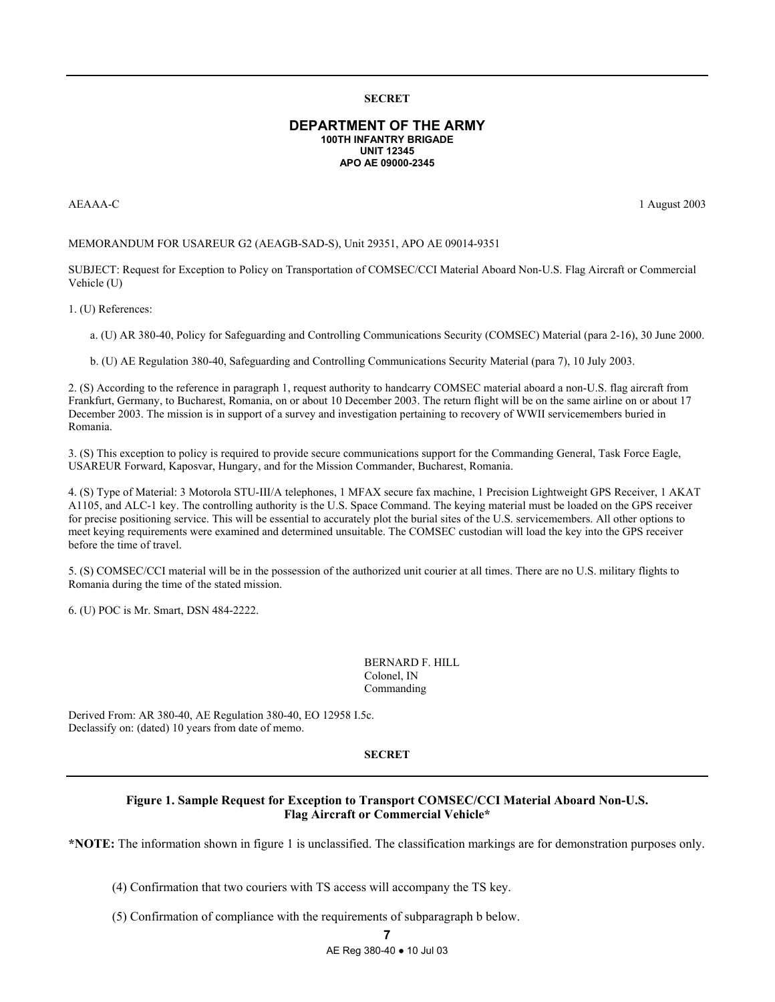#### **SECRET**

#### **DEPARTMENT OF THE ARMY 100TH INFANTRY BRIGADE UNIT 12345 APO AE 09000-2345**

AEAAA-C 1 August 2003

#### MEMORANDUM FOR USAREUR G2 (AEAGB-SAD-S), Unit 29351, APO AE 09014-9351

SUBJECT: Request for Exception to Policy on Transportation of COMSEC/CCI Material Aboard Non-U.S. Flag Aircraft or Commercial Vehicle (U)

1. (U) References:

a. (U) AR 380-40, Policy for Safeguarding and Controlling Communications Security (COMSEC) Material (para 2-16), 30 June 2000.

b. (U) AE Regulation 380-40, Safeguarding and Controlling Communications Security Material (para 7), 10 July 2003.

2. (S) According to the reference in paragraph 1, request authority to handcarry COMSEC material aboard a non-U.S. flag aircraft from Frankfurt, Germany, to Bucharest, Romania, on or about 10 December 2003. The return flight will be on the same airline on or about 17 December 2003. The mission is in support of a survey and investigation pertaining to recovery of WWII servicemembers buried in Romania.

3. (S) This exception to policy is required to provide secure communications support for the Commanding General, Task Force Eagle, USAREUR Forward, Kaposvar, Hungary, and for the Mission Commander, Bucharest, Romania.

4. (S) Type of Material: 3 Motorola STU-III/A telephones, 1 MFAX secure fax machine, 1 Precision Lightweight GPS Receiver, 1 AKAT A1105, and ALC-1 key. The controlling authority is the U.S. Space Command. The keying material must be loaded on the GPS receiver for precise positioning service. This will be essential to accurately plot the burial sites of the U.S. servicemembers. All other options to meet keying requirements were examined and determined unsuitable. The COMSEC custodian will load the key into the GPS receiver before the time of travel.

5. (S) COMSEC/CCI material will be in the possession of the authorized unit courier at all times. There are no U.S. military flights to Romania during the time of the stated mission.

6. (U) POC is Mr. Smart, DSN 484-2222.

 BERNARD F. HILL Colonel, IN Commanding

Derived From: AR 380-40, AE Regulation 380-40, EO 12958 I.5c. Declassify on: (dated) 10 years from date of memo.

#### **SECRET**

### **Figure 1. Sample Request for Exception to Transport COMSEC/CCI Material Aboard Non-U.S. Flag Aircraft or Commercial Vehicle\***

**\*NOTE:** The information shown in figure 1 is unclassified. The classification markings are for demonstration purposes only.

(4) Confirmation that two couriers with TS access will accompany the TS key.

(5) Confirmation of compliance with the requirements of subparagraph b below.

**7** 

AE Reg 380-40 ● 10 Jul 03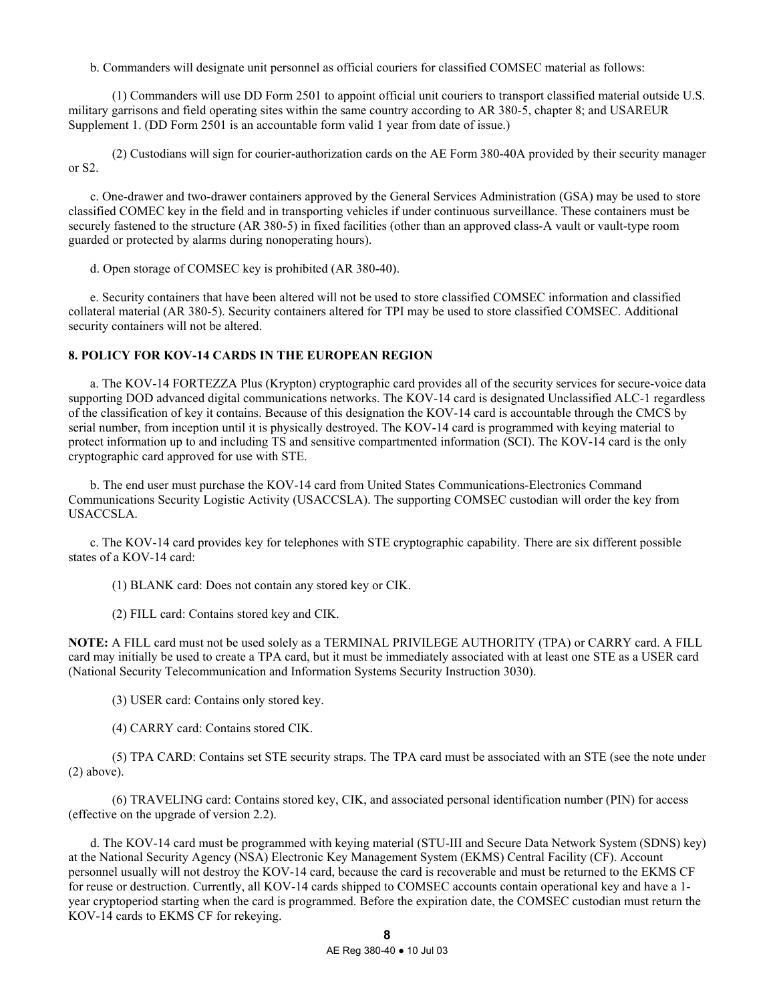b. Commanders will designate unit personnel as official couriers for classified COMSEC material as follows:

 (1) Commanders will use DD Form 2501 to appoint official unit couriers to transport classified material outside U.S. military garrisons and field operating sites within the same country according to AR 380-5, chapter 8; and USAREUR Supplement 1. (DD Form 2501 is an accountable form valid 1 year from date of issue.)

 (2) Custodians will sign for courier-authorization cards on the AE Form 380-40A provided by their security manager or S2.

 c. One-drawer and two-drawer containers approved by the General Services Administration (GSA) may be used to store classified COMEC key in the field and in transporting vehicles if under continuous surveillance. These containers must be securely fastened to the structure (AR 380-5) in fixed facilities (other than an approved class-A vault or vault-type room guarded or protected by alarms during nonoperating hours).

d. Open storage of COMSEC key is prohibited (AR 380-40).

 e. Security containers that have been altered will not be used to store classified COMSEC information and classified collateral material (AR 380-5). Security containers altered for TPI may be used to store classified COMSEC. Additional security containers will not be altered.

# **8. POLICY FOR KOV-14 CARDS IN THE EUROPEAN REGION**

 a. The KOV-14 FORTEZZA Plus (Krypton) cryptographic card provides all of the security services for secure-voice data supporting DOD advanced digital communications networks. The KOV-14 card is designated Unclassified ALC-1 regardless of the classification of key it contains. Because of this designation the KOV-14 card is accountable through the CMCS by serial number, from inception until it is physically destroyed. The KOV-14 card is programmed with keying material to protect information up to and including TS and sensitive compartmented information (SCI). The KOV-14 card is the only cryptographic card approved for use with STE.

 b. The end user must purchase the KOV-14 card from United States Communications-Electronics Command Communications Security Logistic Activity (USACCSLA). The supporting COMSEC custodian will order the key from USACCSLA.

 c. The KOV-14 card provides key for telephones with STE cryptographic capability. There are six different possible states of a KOV-14 card:

(1) BLANK card: Does not contain any stored key or CIK.

(2) FILL card: Contains stored key and CIK.

**NOTE:** A FILL card must not be used solely as a TERMINAL PRIVILEGE AUTHORITY (TPA) or CARRY card. A FILL card may initially be used to create a TPA card, but it must be immediately associated with at least one STE as a USER card (National Security Telecommunication and Information Systems Security Instruction 3030).

(3) USER card: Contains only stored key.

(4) CARRY card: Contains stored CIK.

 (5) TPA CARD: Contains set STE security straps. The TPA card must be associated with an STE (see the note under (2) above).

 (6) TRAVELING card: Contains stored key, CIK, and associated personal identification number (PIN) for access (effective on the upgrade of version 2.2).

 d. The KOV-14 card must be programmed with keying material (STU-III and Secure Data Network System (SDNS) key) at the National Security Agency (NSA) Electronic Key Management System (EKMS) Central Facility (CF). Account personnel usually will not destroy the KOV-14 card, because the card is recoverable and must be returned to the EKMS CF for reuse or destruction. Currently, all KOV-14 cards shipped to COMSEC accounts contain operational key and have a 1 year cryptoperiod starting when the card is programmed. Before the expiration date, the COMSEC custodian must return the KOV-14 cards to EKMS CF for rekeying.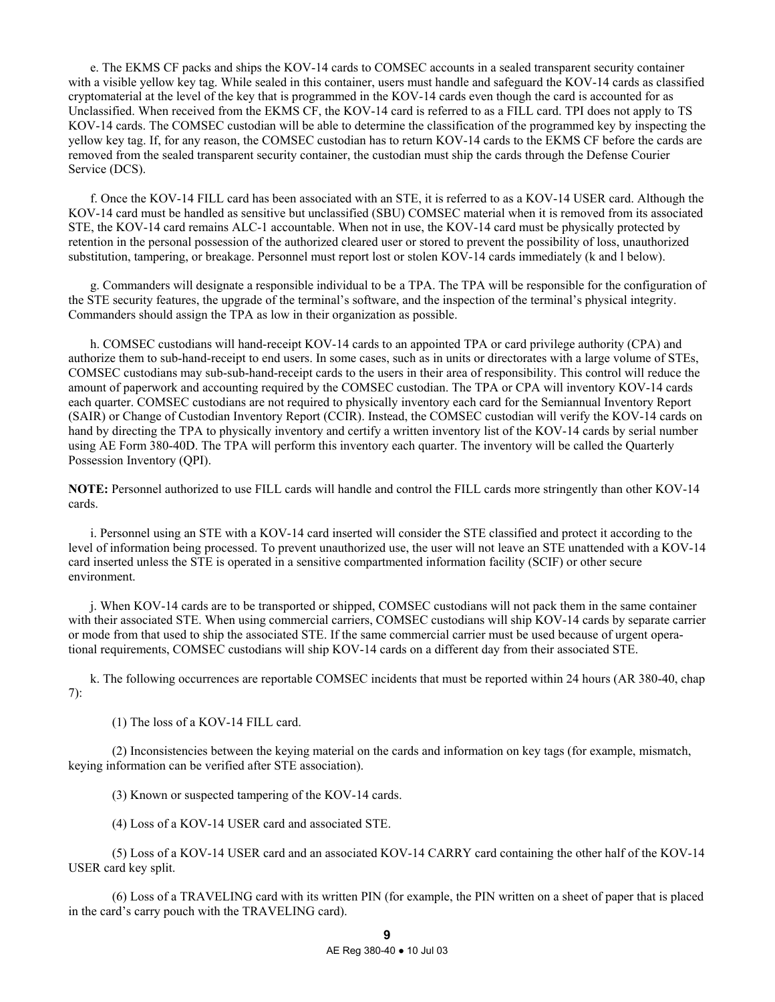e. The EKMS CF packs and ships the KOV-14 cards to COMSEC accounts in a sealed transparent security container with a visible yellow key tag. While sealed in this container, users must handle and safeguard the KOV-14 cards as classified cryptomaterial at the level of the key that is programmed in the KOV-14 cards even though the card is accounted for as Unclassified. When received from the EKMS CF, the KOV-14 card is referred to as a FILL card. TPI does not apply to TS KOV-14 cards. The COMSEC custodian will be able to determine the classification of the programmed key by inspecting the yellow key tag. If, for any reason, the COMSEC custodian has to return KOV-14 cards to the EKMS CF before the cards are removed from the sealed transparent security container, the custodian must ship the cards through the Defense Courier Service (DCS).

 f. Once the KOV-14 FILL card has been associated with an STE, it is referred to as a KOV-14 USER card. Although the KOV-14 card must be handled as sensitive but unclassified (SBU) COMSEC material when it is removed from its associated STE, the KOV-14 card remains ALC-1 accountable. When not in use, the KOV-14 card must be physically protected by retention in the personal possession of the authorized cleared user or stored to prevent the possibility of loss, unauthorized substitution, tampering, or breakage. Personnel must report lost or stolen KOV-14 cards immediately (k and l below).

 g. Commanders will designate a responsible individual to be a TPA. The TPA will be responsible for the configuration of the STE security features, the upgrade of the terminal's software, and the inspection of the terminal's physical integrity. Commanders should assign the TPA as low in their organization as possible.

 h. COMSEC custodians will hand-receipt KOV-14 cards to an appointed TPA or card privilege authority (CPA) and authorize them to sub-hand-receipt to end users. In some cases, such as in units or directorates with a large volume of STEs, COMSEC custodians may sub-sub-hand-receipt cards to the users in their area of responsibility. This control will reduce the amount of paperwork and accounting required by the COMSEC custodian. The TPA or CPA will inventory KOV-14 cards each quarter. COMSEC custodians are not required to physically inventory each card for the Semiannual Inventory Report (SAIR) or Change of Custodian Inventory Report (CCIR). Instead, the COMSEC custodian will verify the KOV-14 cards on hand by directing the TPA to physically inventory and certify a written inventory list of the KOV-14 cards by serial number using AE Form 380-40D. The TPA will perform this inventory each quarter. The inventory will be called the Quarterly Possession Inventory (QPI).

**NOTE:** Personnel authorized to use FILL cards will handle and control the FILL cards more stringently than other KOV-14 cards.

 i. Personnel using an STE with a KOV-14 card inserted will consider the STE classified and protect it according to the level of information being processed. To prevent unauthorized use, the user will not leave an STE unattended with a KOV-14 card inserted unless the STE is operated in a sensitive compartmented information facility (SCIF) or other secure environment.

 j. When KOV-14 cards are to be transported or shipped, COMSEC custodians will not pack them in the same container with their associated STE. When using commercial carriers, COMSEC custodians will ship KOV-14 cards by separate carrier or mode from that used to ship the associated STE. If the same commercial carrier must be used because of urgent operational requirements, COMSEC custodians will ship KOV-14 cards on a different day from their associated STE.

 k. The following occurrences are reportable COMSEC incidents that must be reported within 24 hours (AR 380-40, chap 7):

(1) The loss of a KOV-14 FILL card.

 (2) Inconsistencies between the keying material on the cards and information on key tags (for example, mismatch, keying information can be verified after STE association).

(3) Known or suspected tampering of the KOV-14 cards.

(4) Loss of a KOV-14 USER card and associated STE.

 (5) Loss of a KOV-14 USER card and an associated KOV-14 CARRY card containing the other half of the KOV-14 USER card key split.

 (6) Loss of a TRAVELING card with its written PIN (for example, the PIN written on a sheet of paper that is placed in the card's carry pouch with the TRAVELING card).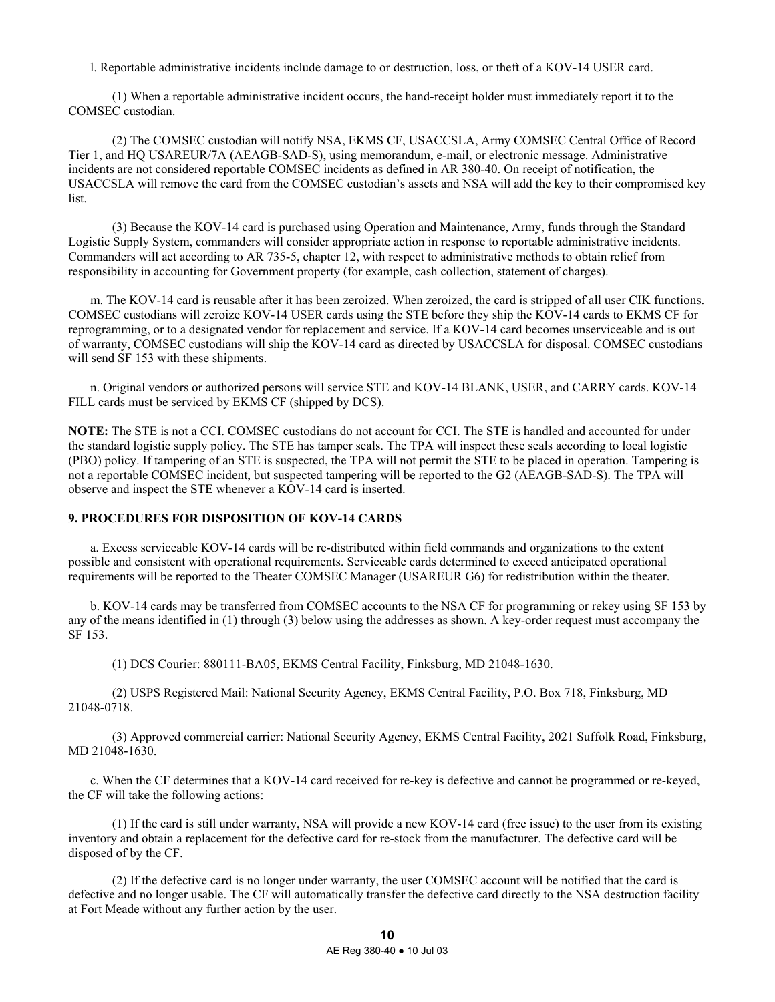l. Reportable administrative incidents include damage to or destruction, loss, or theft of a KOV-14 USER card.

 (1) When a reportable administrative incident occurs, the hand-receipt holder must immediately report it to the COMSEC custodian.

 (2) The COMSEC custodian will notify NSA, EKMS CF, USACCSLA, Army COMSEC Central Office of Record Tier 1, and HQ USAREUR/7A (AEAGB-SAD-S), using memorandum, e-mail, or electronic message. Administrative incidents are not considered reportable COMSEC incidents as defined in AR 380-40. On receipt of notification, the USACCSLA will remove the card from the COMSEC custodian's assets and NSA will add the key to their compromised key list.

 (3) Because the KOV-14 card is purchased using Operation and Maintenance, Army, funds through the Standard Logistic Supply System, commanders will consider appropriate action in response to reportable administrative incidents. Commanders will act according to AR 735-5, chapter 12, with respect to administrative methods to obtain relief from responsibility in accounting for Government property (for example, cash collection, statement of charges).

 m. The KOV-14 card is reusable after it has been zeroized. When zeroized, the card is stripped of all user CIK functions. COMSEC custodians will zeroize KOV-14 USER cards using the STE before they ship the KOV-14 cards to EKMS CF for reprogramming, or to a designated vendor for replacement and service. If a KOV-14 card becomes unserviceable and is out of warranty, COMSEC custodians will ship the KOV-14 card as directed by USACCSLA for disposal. COMSEC custodians will send SF 153 with these shipments.

 n. Original vendors or authorized persons will service STE and KOV-14 BLANK, USER, and CARRY cards. KOV-14 FILL cards must be serviced by EKMS CF (shipped by DCS).

**NOTE:** The STE is not a CCI. COMSEC custodians do not account for CCI. The STE is handled and accounted for under the standard logistic supply policy. The STE has tamper seals. The TPA will inspect these seals according to local logistic (PBO) policy. If tampering of an STE is suspected, the TPA will not permit the STE to be placed in operation. Tampering is not a reportable COMSEC incident, but suspected tampering will be reported to the G2 (AEAGB-SAD-S). The TPA will observe and inspect the STE whenever a KOV-14 card is inserted.

## **9. PROCEDURES FOR DISPOSITION OF KOV-14 CARDS**

 a. Excess serviceable KOV-14 cards will be re-distributed within field commands and organizations to the extent possible and consistent with operational requirements. Serviceable cards determined to exceed anticipated operational requirements will be reported to the Theater COMSEC Manager (USAREUR G6) for redistribution within the theater.

 b. KOV-14 cards may be transferred from COMSEC accounts to the NSA CF for programming or rekey using SF 153 by any of the means identified in (1) through (3) below using the addresses as shown. A key-order request must accompany the SF 153.

(1) DCS Courier: 880111-BA05, EKMS Central Facility, Finksburg, MD 21048-1630.

 (2) USPS Registered Mail: National Security Agency, EKMS Central Facility, P.O. Box 718, Finksburg, MD 21048-0718.

 (3) Approved commercial carrier: National Security Agency, EKMS Central Facility, 2021 Suffolk Road, Finksburg, MD 21048-1630.

 c. When the CF determines that a KOV-14 card received for re-key is defective and cannot be programmed or re-keyed, the CF will take the following actions:

 (1) If the card is still under warranty, NSA will provide a new KOV-14 card (free issue) to the user from its existing inventory and obtain a replacement for the defective card for re-stock from the manufacturer. The defective card will be disposed of by the CF.

 (2) If the defective card is no longer under warranty, the user COMSEC account will be notified that the card is defective and no longer usable. The CF will automatically transfer the defective card directly to the NSA destruction facility at Fort Meade without any further action by the user.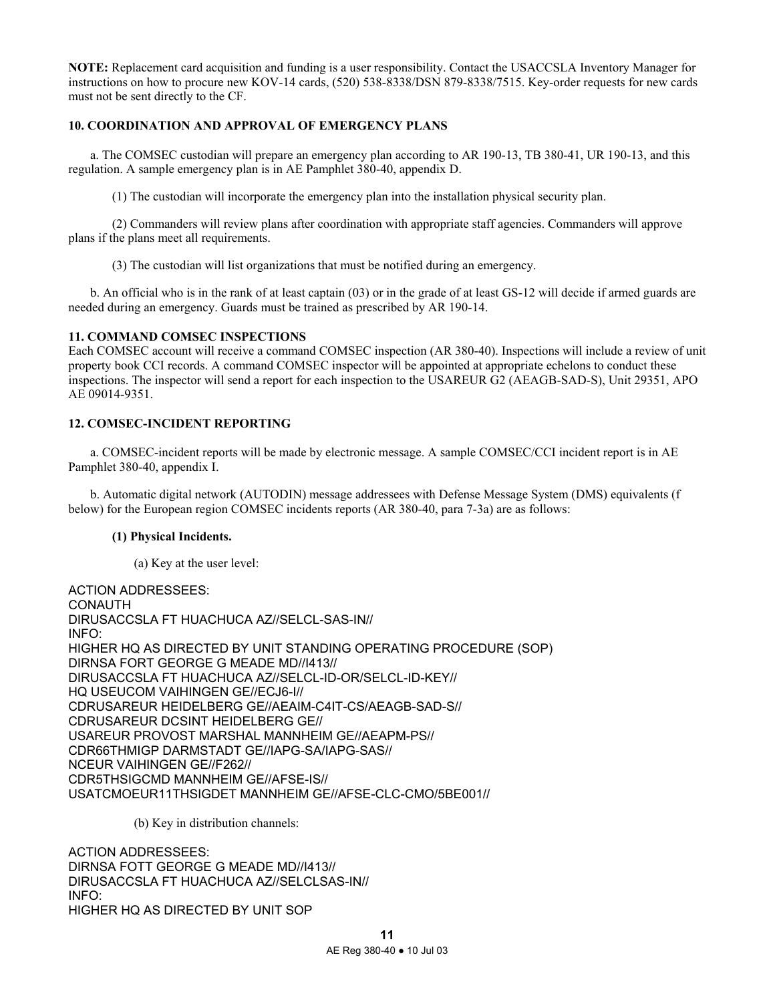**NOTE:** Replacement card acquisition and funding is a user responsibility. Contact the USACCSLA Inventory Manager for instructions on how to procure new KOV-14 cards, (520) 538-8338/DSN 879-8338/7515. Key-order requests for new cards must not be sent directly to the CF.

# **10. COORDINATION AND APPROVAL OF EMERGENCY PLANS**

 a. The COMSEC custodian will prepare an emergency plan according to AR 190-13, TB 380-41, UR 190-13, and this regulation. A sample emergency plan is in AE Pamphlet 380-40, appendix D.

(1) The custodian will incorporate the emergency plan into the installation physical security plan.

 (2) Commanders will review plans after coordination with appropriate staff agencies. Commanders will approve plans if the plans meet all requirements.

(3) The custodian will list organizations that must be notified during an emergency.

 b. An official who is in the rank of at least captain (03) or in the grade of at least GS-12 will decide if armed guards are needed during an emergency. Guards must be trained as prescribed by AR 190-14.

### **11. COMMAND COMSEC INSPECTIONS**

Each COMSEC account will receive a command COMSEC inspection (AR 380-40). Inspections will include a review of unit property book CCI records. A command COMSEC inspector will be appointed at appropriate echelons to conduct these inspections. The inspector will send a report for each inspection to the USAREUR G2 (AEAGB-SAD-S), Unit 29351, APO AE 09014-9351.

## **12. COMSEC-INCIDENT REPORTING**

 a. COMSEC-incident reports will be made by electronic message. A sample COMSEC/CCI incident report is in AE Pamphlet 380-40, appendix I.

 b. Automatic digital network (AUTODIN) message addressees with Defense Message System (DMS) equivalents (f below) for the European region COMSEC incidents reports (AR 380-40, para 7-3a) are as follows:

# **(1) Physical Incidents.**

(a) Key at the user level:

ACTION ADDRESSEES: CONAUTH DIRUSACCSLA FT HUACHUCA AZ//SELCL-SAS-IN// INFO: HIGHER HQ AS DIRECTED BY UNIT STANDING OPERATING PROCEDURE (SOP) DIRNSA FORT GEORGE G MEADE MD//I413// DIRUSACCSLA FT HUACHUCA AZ//SELCL-ID-OR/SELCL-ID-KEY// HQ USEUCOM VAIHINGEN GE//ECJ6-I// CDRUSAREUR HEIDELBERG GE//AEAIM-C4IT-CS/AEAGB-SAD-S// CDRUSAREUR DCSINT HEIDELBERG GE// USAREUR PROVOST MARSHAL MANNHEIM GE//AEAPM-PS// CDR66THMIGP DARMSTADT GE//IAPG-SA/IAPG-SAS// NCEUR VAIHINGEN GE//F262// CDR5THSIGCMD MANNHEIM GE//AFSE-IS// USATCMOEUR11THSIGDET MANNHEIM GE//AFSE-CLC-CMO/5BE001//

(b) Key in distribution channels:

ACTION ADDRESSEES: DIRNSA FOTT GEORGE G MEADE MD//I413// DIRUSACCSLA FT HUACHUCA AZ//SELCLSAS-IN// INFO: HIGHER HQ AS DIRECTED BY UNIT SOP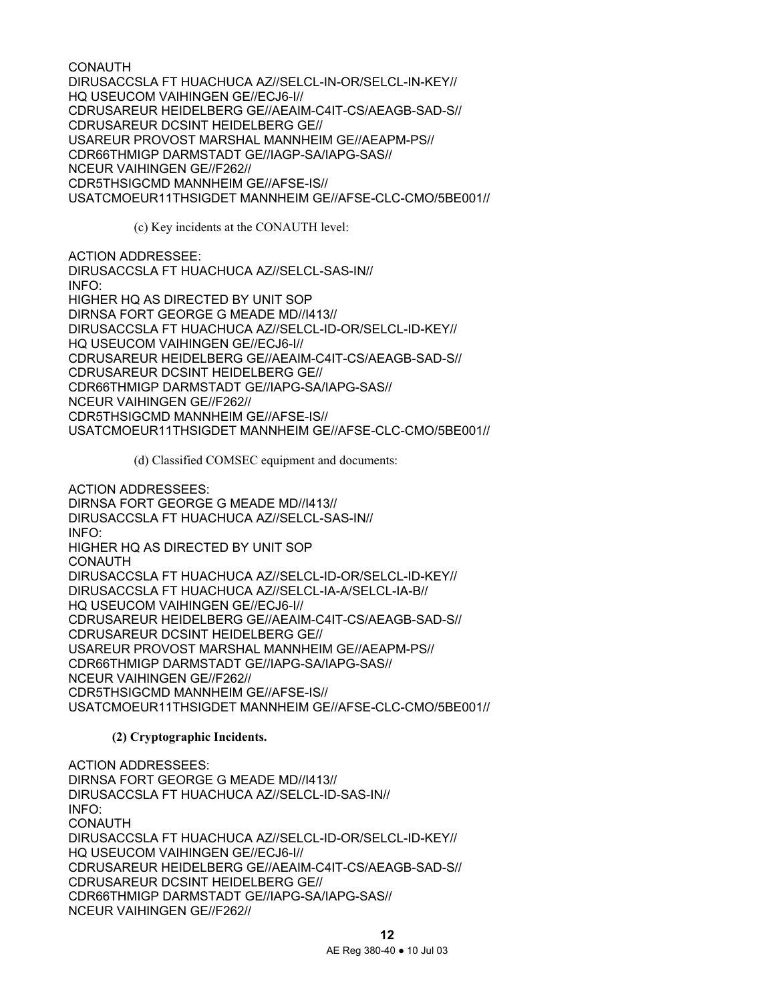CONAUTH DIRUSACCSLA FT HUACHUCA AZ//SELCL-IN-OR/SELCL-IN-KEY// HQ USEUCOM VAIHINGEN GE//ECJ6-I// CDRUSAREUR HEIDELBERG GE//AEAIM-C4IT-CS/AEAGB-SAD-S// CDRUSAREUR DCSINT HEIDELBERG GE// USAREUR PROVOST MARSHAL MANNHEIM GE//AEAPM-PS// CDR66THMIGP DARMSTADT GE//IAGP-SA/IAPG-SAS// NCEUR VAIHINGEN GE//F262// CDR5THSIGCMD MANNHEIM GE//AFSE-IS// USATCMOEUR11THSIGDET MANNHEIM GE//AFSE-CLC-CMO/5BE001//

(c) Key incidents at the CONAUTH level:

ACTION ADDRESSEE: DIRUSACCSLA FT HUACHUCA AZ//SELCL-SAS-IN// INFO: HIGHER HQ AS DIRECTED BY UNIT SOP DIRNSA FORT GEORGE G MEADE MD//I413// DIRUSACCSLA FT HUACHUCA AZ//SELCL-ID-OR/SELCL-ID-KEY// HQ USEUCOM VAIHINGEN GE//ECJ6-I// CDRUSAREUR HEIDELBERG GE//AEAIM-C4IT-CS/AEAGB-SAD-S// CDRUSAREUR DCSINT HEIDELBERG GE// CDR66THMIGP DARMSTADT GE//IAPG-SA/IAPG-SAS// NCEUR VAIHINGEN GE//F262// CDR5THSIGCMD MANNHEIM GE//AFSE-IS// USATCMOEUR11THSIGDET MANNHEIM GE//AFSE-CLC-CMO/5BE001//

(d) Classified COMSEC equipment and documents:

ACTION ADDRESSEES: DIRNSA FORT GEORGE G MEADE MD//I413// DIRUSACCSLA FT HUACHUCA AZ//SELCL-SAS-IN// INFO: HIGHER HQ AS DIRECTED BY UNIT SOP CONAUTH DIRUSACCSLA FT HUACHUCA AZ//SELCL-ID-OR/SELCL-ID-KEY// DIRUSACCSLA FT HUACHUCA AZ//SELCL-IA-A/SELCL-IA-B// HQ USEUCOM VAIHINGEN GE//ECJ6-I// CDRUSAREUR HEIDELBERG GE//AEAIM-C4IT-CS/AEAGB-SAD-S// CDRUSAREUR DCSINT HEIDELBERG GE// USAREUR PROVOST MARSHAL MANNHEIM GE//AEAPM-PS// CDR66THMIGP DARMSTADT GE//IAPG-SA/IAPG-SAS// NCEUR VAIHINGEN GE//F262// CDR5THSIGCMD MANNHEIM GE//AFSE-IS// USATCMOEUR11THSIGDET MANNHEIM GE//AFSE-CLC-CMO/5BE001//

# **(2) Cryptographic Incidents.**

ACTION ADDRESSEES: DIRNSA FORT GEORGE G MEADE MD//I413// DIRUSACCSLA FT HUACHUCA AZ//SELCL-ID-SAS-IN// INFO: CONAUTH DIRUSACCSLA FT HUACHUCA AZ//SELCL-ID-OR/SELCL-ID-KEY// HQ USEUCOM VAIHINGEN GE//ECJ6-I// CDRUSAREUR HEIDELBERG GE//AEAIM-C4IT-CS/AEAGB-SAD-S// CDRUSAREUR DCSINT HEIDELBERG GE// CDR66THMIGP DARMSTADT GE//IAPG-SA/IAPG-SAS// NCEUR VAIHINGEN GE//F262//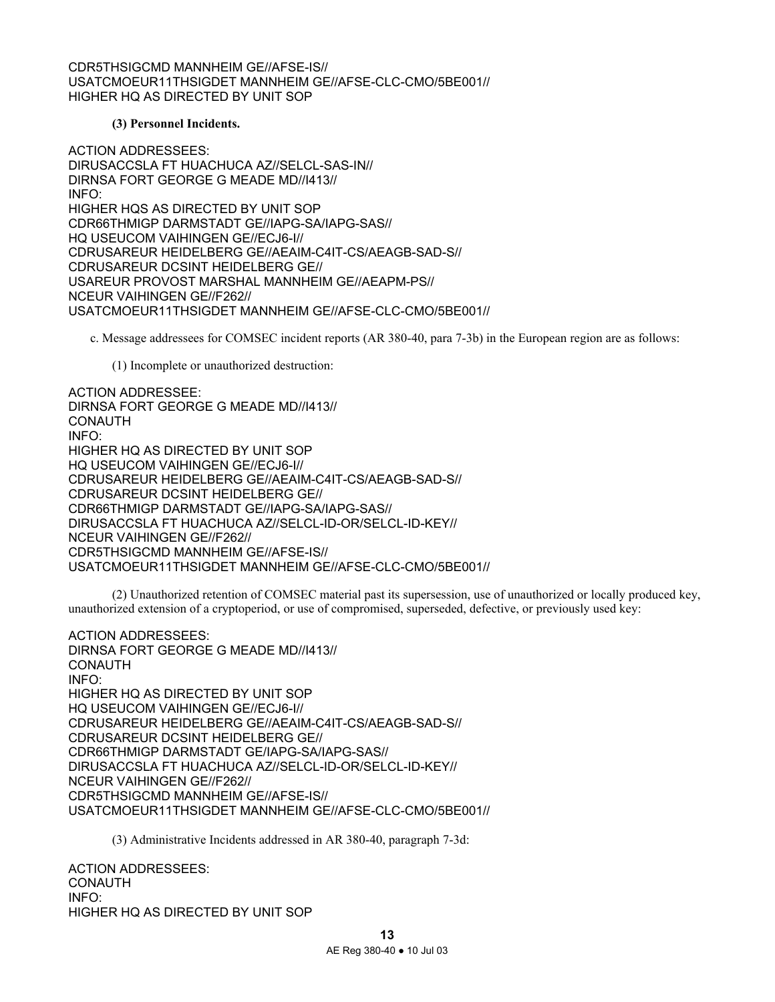CDR5THSIGCMD MANNHEIM GE//AFSE-IS// USATCMOEUR11THSIGDET MANNHEIM GE//AFSE-CLC-CMO/5BE001// HIGHER HQ AS DIRECTED BY UNIT SOP

### **(3) Personnel Incidents.**

ACTION ADDRESSEES: DIRUSACCSLA FT HUACHUCA AZ//SELCL-SAS-IN// DIRNSA FORT GEORGE G MEADE MD//I413// INFO: HIGHER HQS AS DIRECTED BY UNIT SOP CDR66THMIGP DARMSTADT GE//IAPG-SA/IAPG-SAS// HQ USEUCOM VAIHINGEN GE//ECJ6-I// CDRUSAREUR HEIDELBERG GE//AEAIM-C4IT-CS/AEAGB-SAD-S// CDRUSAREUR DCSINT HEIDELBERG GE// USAREUR PROVOST MARSHAL MANNHEIM GE//AEAPM-PS// NCEUR VAIHINGEN GE//F262// USATCMOEUR11THSIGDET MANNHEIM GE//AFSE-CLC-CMO/5BE001//

c. Message addressees for COMSEC incident reports (AR 380-40, para 7-3b) in the European region are as follows:

(1) Incomplete or unauthorized destruction:

ACTION ADDRESSEE: DIRNSA FORT GEORGE G MEADE MD//I413// **CONAUTH** INFO: HIGHER HQ AS DIRECTED BY UNIT SOP HQ USEUCOM VAIHINGEN GE//ECJ6-I// CDRUSAREUR HEIDELBERG GE//AEAIM-C4IT-CS/AEAGB-SAD-S// CDRUSAREUR DCSINT HEIDELBERG GE// CDR66THMIGP DARMSTADT GE//IAPG-SA/IAPG-SAS// DIRUSACCSLA FT HUACHUCA AZ//SELCL-ID-OR/SELCL-ID-KEY// NCEUR VAIHINGEN GE//F262// CDR5THSIGCMD MANNHEIM GE//AFSE-IS// USATCMOEUR11THSIGDET MANNHEIM GE//AFSE-CLC-CMO/5BE001//

 (2) Unauthorized retention of COMSEC material past its supersession, use of unauthorized or locally produced key, unauthorized extension of a cryptoperiod, or use of compromised, superseded, defective, or previously used key:

ACTION ADDRESSEES: DIRNSA FORT GEORGE G MEADE MD//I413// **CONAUTH** INFO: HIGHER HQ AS DIRECTED BY UNIT SOP HQ USEUCOM VAIHINGEN GE//ECJ6-I// CDRUSAREUR HEIDELBERG GE//AEAIM-C4IT-CS/AEAGB-SAD-S// CDRUSAREUR DCSINT HEIDELBERG GE// CDR66THMIGP DARMSTADT GE/IAPG-SA/IAPG-SAS// DIRUSACCSLA FT HUACHUCA AZ//SELCL-ID-OR/SELCL-ID-KEY// NCEUR VAIHINGEN GE//F262// CDR5THSIGCMD MANNHEIM GE//AFSE-IS// USATCMOEUR11THSIGDET MANNHEIM GE//AFSE-CLC-CMO/5BE001//

(3) Administrative Incidents addressed in AR 380-40, paragraph 7-3d:

ACTION ADDRESSEES: CONAUTH INFO: HIGHER HQ AS DIRECTED BY UNIT SOP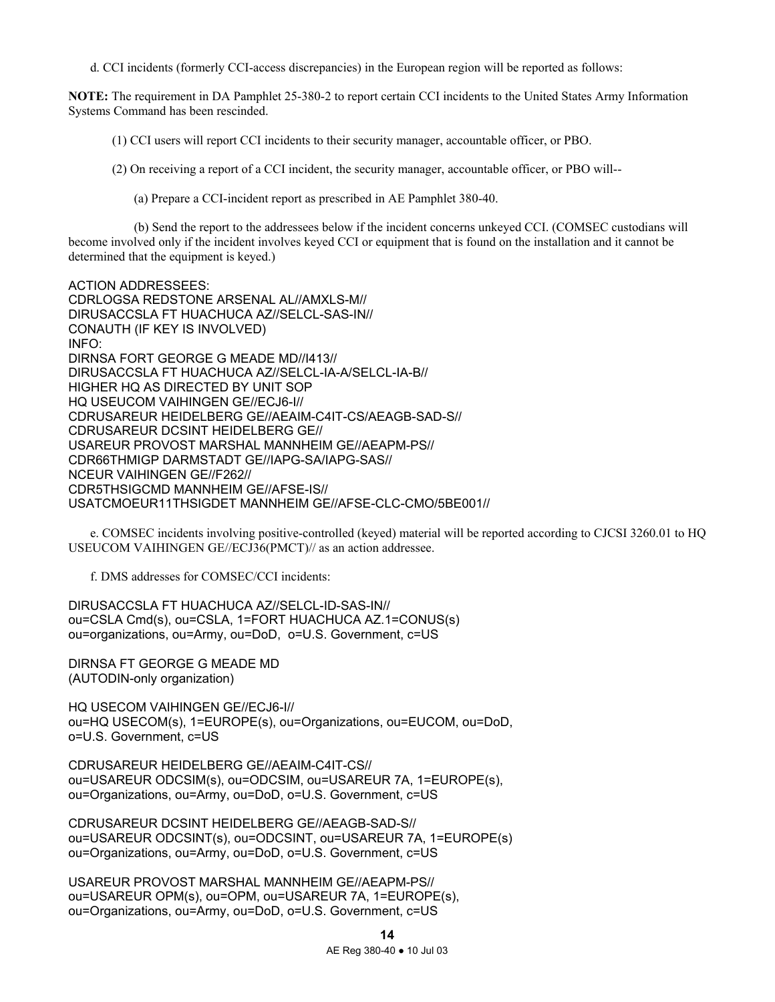d. CCI incidents (formerly CCI-access discrepancies) in the European region will be reported as follows:

**NOTE:** The requirement in DA Pamphlet 25-380-2 to report certain CCI incidents to the United States Army Information Systems Command has been rescinded.

(1) CCI users will report CCI incidents to their security manager, accountable officer, or PBO.

(2) On receiving a report of a CCI incident, the security manager, accountable officer, or PBO will--

(a) Prepare a CCI-incident report as prescribed in AE Pamphlet 380-40.

 (b) Send the report to the addressees below if the incident concerns unkeyed CCI. (COMSEC custodians will become involved only if the incident involves keyed CCI or equipment that is found on the installation and it cannot be determined that the equipment is keyed.)

ACTION ADDRESSEES: CDRLOGSA REDSTONE ARSENAL AL//AMXLS-M// DIRUSACCSLA FT HUACHUCA AZ//SELCL-SAS-IN// CONAUTH (IF KEY IS INVOLVED) INFO: DIRNSA FORT GEORGE G MEADE MD//I413// DIRUSACCSLA FT HUACHUCA AZ//SELCL-IA-A/SELCL-IA-B// HIGHER HQ AS DIRECTED BY UNIT SOP HQ USEUCOM VAIHINGEN GE//ECJ6-I// CDRUSAREUR HEIDELBERG GE//AEAIM-C4IT-CS/AEAGB-SAD-S// CDRUSAREUR DCSINT HEIDELBERG GE// USAREUR PROVOST MARSHAL MANNHEIM GE//AEAPM-PS// CDR66THMIGP DARMSTADT GE//IAPG-SA/IAPG-SAS// NCEUR VAIHINGEN GE//F262// CDR5THSIGCMD MANNHEIM GE//AFSE-IS// USATCMOEUR11THSIGDET MANNHEIM GE//AFSE-CLC-CMO/5BE001//

 e. COMSEC incidents involving positive-controlled (keyed) material will be reported according to CJCSI 3260.01 to HQ USEUCOM VAIHINGEN GE//ECJ36(PMCT)// as an action addressee.

f. DMS addresses for COMSEC/CCI incidents:

DIRUSACCSLA FT HUACHUCA AZ//SELCL-ID-SAS-IN// ou=CSLA Cmd(s), ou=CSLA, 1=FORT HUACHUCA AZ.1=CONUS(s) ou=organizations, ou=Army, ou=DoD, o=U.S. Government, c=US

DIRNSA FT GEORGE G MEADE MD (AUTODIN-only organization)

HQ USECOM VAIHINGEN GE//ECJ6-I// ou=HQ USECOM(s), 1=EUROPE(s), ou=Organizations, ou=EUCOM, ou=DoD, o=U.S. Government, c=US

CDRUSAREUR HEIDELBERG GE//AEAIM-C4IT-CS// ou=USAREUR ODCSIM(s), ou=ODCSIM, ou=USAREUR 7A, 1=EUROPE(s), ou=Organizations, ou=Army, ou=DoD, o=U.S. Government, c=US

CDRUSAREUR DCSINT HEIDELBERG GE//AEAGB-SAD-S// ou=USAREUR ODCSINT(s), ou=ODCSINT, ou=USAREUR 7A, 1=EUROPE(s) ou=Organizations, ou=Army, ou=DoD, o=U.S. Government, c=US

USAREUR PROVOST MARSHAL MANNHEIM GE//AEAPM-PS// ou=USAREUR OPM(s), ou=OPM, ou=USAREUR 7A, 1=EUROPE(s), ou=Organizations, ou=Army, ou=DoD, o=U.S. Government, c=US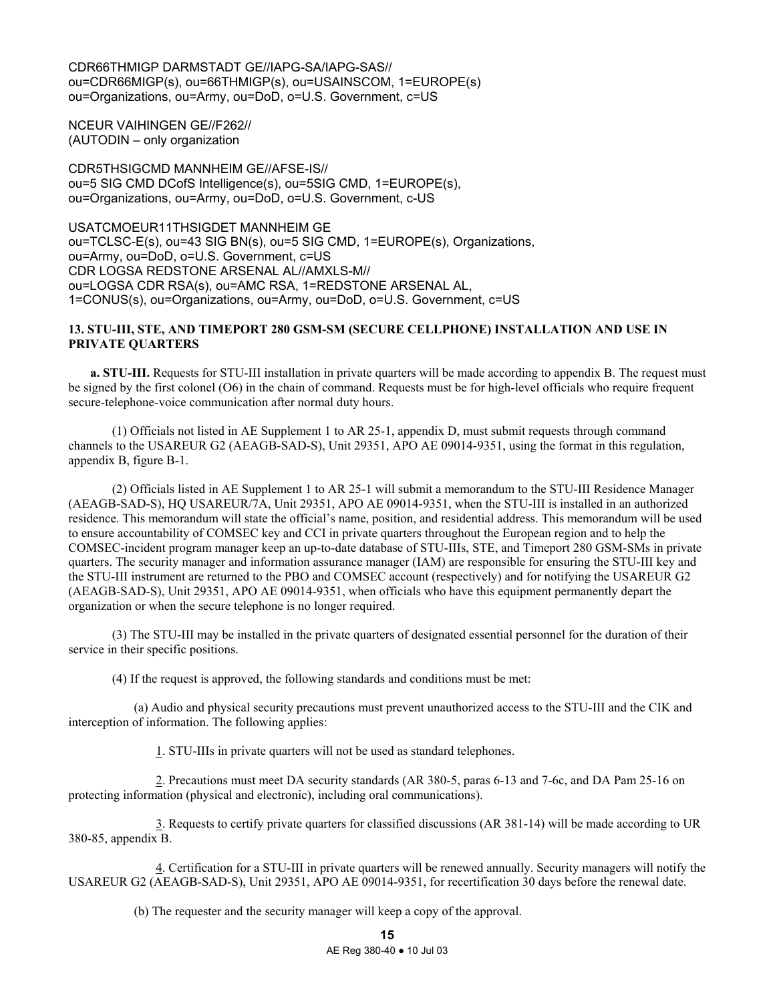CDR66THMIGP DARMSTADT GE//IAPG-SA/IAPG-SAS// ou=CDR66MIGP(s), ou=66THMIGP(s), ou=USAINSCOM, 1=EUROPE(s) ou=Organizations, ou=Army, ou=DoD, o=U.S. Government, c=US

NCEUR VAIHINGEN GE//F262// (AUTODIN – only organization

CDR5THSIGCMD MANNHEIM GE//AFSE-IS// ou=5 SIG CMD DCofS Intelligence(s), ou=5SIG CMD, 1=EUROPE(s), ou=Organizations, ou=Army, ou=DoD, o=U.S. Government, c-US

USATCMOEUR11THSIGDET MANNHEIM GE ou=TCLSC-E(s), ou=43 SIG BN(s), ou=5 SIG CMD, 1=EUROPE(s), Organizations, ou=Army, ou=DoD, o=U.S. Government, c=US CDR LOGSA REDSTONE ARSENAL AL//AMXLS-M// ou=LOGSA CDR RSA(s), ou=AMC RSA, 1=REDSTONE ARSENAL AL, 1=CONUS(s), ou=Organizations, ou=Army, ou=DoD, o=U.S. Government, c=US

# **13. STU-III, STE, AND TIMEPORT 280 GSM-SM (SECURE CELLPHONE) INSTALLATION AND USE IN PRIVATE QUARTERS**

**a. STU-III.** Requests for STU-III installation in private quarters will be made according to appendix B. The request must be signed by the first colonel (O6) in the chain of command. Requests must be for high-level officials who require frequent secure-telephone-voice communication after normal duty hours.

 (1) Officials not listed in AE Supplement 1 to AR 25-1, appendix D, must submit requests through command channels to the USAREUR G2 (AEAGB-SAD-S), Unit 29351, APO AE 09014-9351, using the format in this regulation, appendix B, figure B-1.

 (2) Officials listed in AE Supplement 1 to AR 25-1 will submit a memorandum to the STU-III Residence Manager (AEAGB-SAD-S), HQ USAREUR/7A, Unit 29351, APO AE 09014-9351, when the STU-III is installed in an authorized residence. This memorandum will state the official's name, position, and residential address. This memorandum will be used to ensure accountability of COMSEC key and CCI in private quarters throughout the European region and to help the COMSEC-incident program manager keep an up-to-date database of STU-IIIs, STE, and Timeport 280 GSM-SMs in private quarters. The security manager and information assurance manager (IAM) are responsible for ensuring the STU-III key and the STU-III instrument are returned to the PBO and COMSEC account (respectively) and for notifying the USAREUR G2 (AEAGB-SAD-S), Unit 29351, APO AE 09014-9351, when officials who have this equipment permanently depart the organization or when the secure telephone is no longer required.

 (3) The STU-III may be installed in the private quarters of designated essential personnel for the duration of their service in their specific positions.

(4) If the request is approved, the following standards and conditions must be met:

 (a) Audio and physical security precautions must prevent unauthorized access to the STU-III and the CIK and interception of information. The following applies:

1. STU-IIIs in private quarters will not be used as standard telephones.

 2. Precautions must meet DA security standards (AR 380-5, paras 6-13 and 7-6c, and DA Pam 25-16 on protecting information (physical and electronic), including oral communications).

 3. Requests to certify private quarters for classified discussions (AR 381-14) will be made according to UR 380-85, appendix B.

 4. Certification for a STU-III in private quarters will be renewed annually. Security managers will notify the USAREUR G2 (AEAGB-SAD-S), Unit 29351, APO AE 09014-9351, for recertification 30 days before the renewal date.

(b) The requester and the security manager will keep a copy of the approval.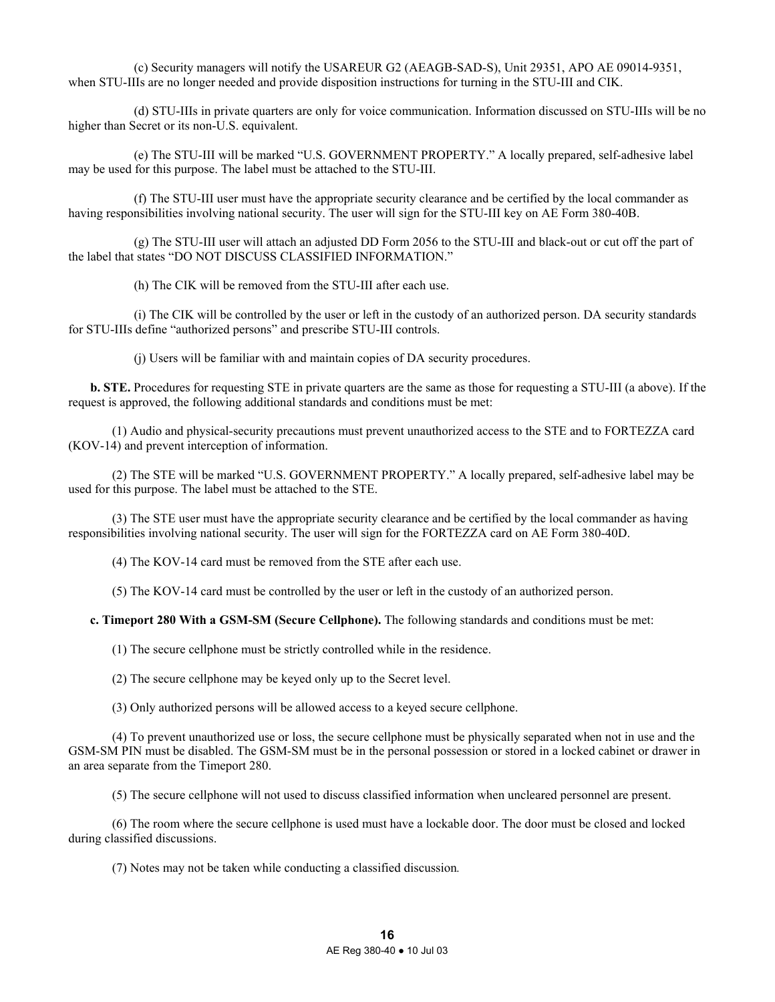(c) Security managers will notify the USAREUR G2 (AEAGB-SAD-S), Unit 29351, APO AE 09014-9351, when STU-IIIs are no longer needed and provide disposition instructions for turning in the STU-III and CIK.

 (d) STU-IIIs in private quarters are only for voice communication. Information discussed on STU-IIIs will be no higher than Secret or its non-U.S. equivalent.

 (e) The STU-III will be marked "U.S. GOVERNMENT PROPERTY." A locally prepared, self-adhesive label may be used for this purpose. The label must be attached to the STU-III.

 (f) The STU-III user must have the appropriate security clearance and be certified by the local commander as having responsibilities involving national security. The user will sign for the STU-III key on AE Form 380-40B.

 (g) The STU-III user will attach an adjusted DD Form 2056 to the STU-III and black-out or cut off the part of the label that states "DO NOT DISCUSS CLASSIFIED INFORMATION."

(h) The CIK will be removed from the STU-III after each use.

 (i) The CIK will be controlled by the user or left in the custody of an authorized person. DA security standards for STU-IIIs define "authorized persons" and prescribe STU-III controls.

(j) Users will be familiar with and maintain copies of DA security procedures.

**b. STE.** Procedures for requesting STE in private quarters are the same as those for requesting a STU-III (a above). If the request is approved, the following additional standards and conditions must be met:

 (1) Audio and physical-security precautions must prevent unauthorized access to the STE and to FORTEZZA card (KOV-14) and prevent interception of information.

 (2) The STE will be marked "U.S. GOVERNMENT PROPERTY." A locally prepared, self-adhesive label may be used for this purpose. The label must be attached to the STE.

 (3) The STE user must have the appropriate security clearance and be certified by the local commander as having responsibilities involving national security. The user will sign for the FORTEZZA card on AE Form 380-40D.

(4) The KOV-14 card must be removed from the STE after each use.

(5) The KOV-14 card must be controlled by the user or left in the custody of an authorized person.

**c. Timeport 280 With a GSM-SM (Secure Cellphone).** The following standards and conditions must be met:

(1) The secure cellphone must be strictly controlled while in the residence.

(2) The secure cellphone may be keyed only up to the Secret level.

(3) Only authorized persons will be allowed access to a keyed secure cellphone.

 (4) To prevent unauthorized use or loss, the secure cellphone must be physically separated when not in use and the GSM-SM PIN must be disabled. The GSM-SM must be in the personal possession or stored in a locked cabinet or drawer in an area separate from the Timeport 280.

(5) The secure cellphone will not used to discuss classified information when uncleared personnel are present.

 (6) The room where the secure cellphone is used must have a lockable door. The door must be closed and locked during classified discussions.

(7) Notes may not be taken while conducting a classified discussion*.*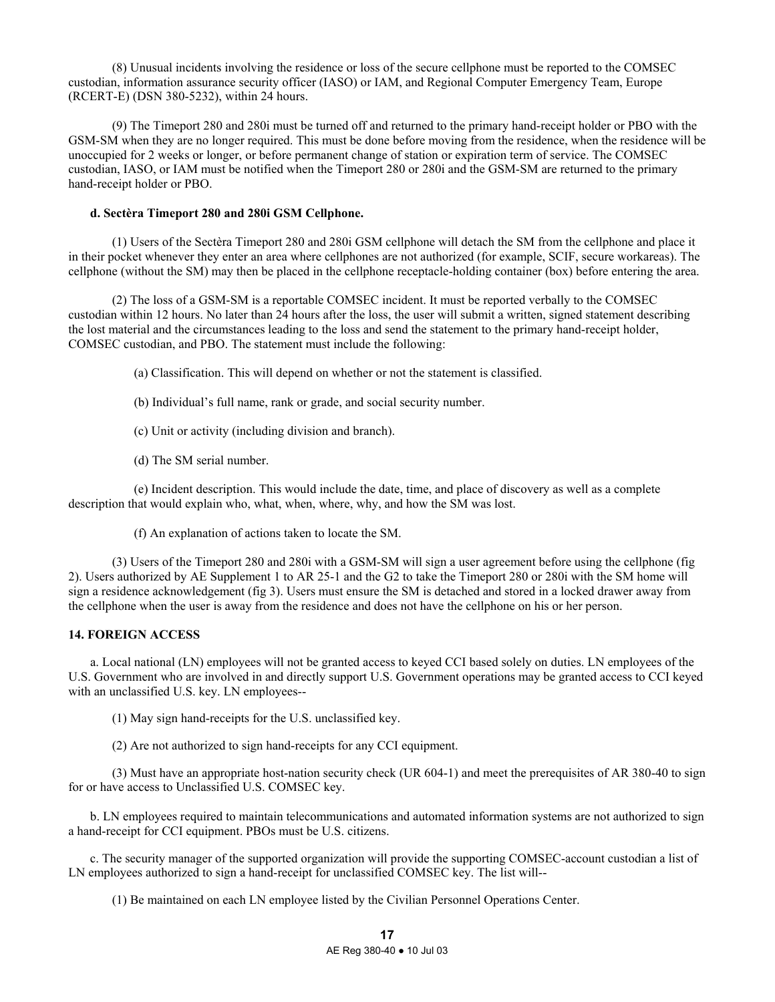(8) Unusual incidents involving the residence or loss of the secure cellphone must be reported to the COMSEC custodian, information assurance security officer (IASO) or IAM, and Regional Computer Emergency Team, Europe (RCERT-E) (DSN 380-5232), within 24 hours.

 (9) The Timeport 280 and 280i must be turned off and returned to the primary hand-receipt holder or PBO with the GSM-SM when they are no longer required. This must be done before moving from the residence, when the residence will be unoccupied for 2 weeks or longer, or before permanent change of station or expiration term of service. The COMSEC custodian, IASO, or IAM must be notified when the Timeport 280 or 280i and the GSM-SM are returned to the primary hand-receipt holder or PBO.

#### **d. Sectèra Timeport 280 and 280i GSM Cellphone.**

 (1) Users of the Sectèra Timeport 280 and 280i GSM cellphone will detach the SM from the cellphone and place it in their pocket whenever they enter an area where cellphones are not authorized (for example, SCIF, secure workareas). The cellphone (without the SM) may then be placed in the cellphone receptacle-holding container (box) before entering the area.

 (2) The loss of a GSM-SM is a reportable COMSEC incident. It must be reported verbally to the COMSEC custodian within 12 hours. No later than 24 hours after the loss, the user will submit a written, signed statement describing the lost material and the circumstances leading to the loss and send the statement to the primary hand-receipt holder, COMSEC custodian, and PBO. The statement must include the following:

(a) Classification. This will depend on whether or not the statement is classified.

- (b) Individual's full name, rank or grade, and social security number.
- (c) Unit or activity (including division and branch).
- (d) The SM serial number.

 (e) Incident description. This would include the date, time, and place of discovery as well as a complete description that would explain who, what, when, where, why, and how the SM was lost.

(f) An explanation of actions taken to locate the SM.

 (3) Users of the Timeport 280 and 280i with a GSM-SM will sign a user agreement before using the cellphone (fig 2). Users authorized by AE Supplement 1 to AR 25-1 and the G2 to take the Timeport 280 or 280i with the SM home will sign a residence acknowledgement (fig 3). Users must ensure the SM is detached and stored in a locked drawer away from the cellphone when the user is away from the residence and does not have the cellphone on his or her person.

#### **14. FOREIGN ACCESS**

 a. Local national (LN) employees will not be granted access to keyed CCI based solely on duties. LN employees of the U.S. Government who are involved in and directly support U.S. Government operations may be granted access to CCI keyed with an unclassified U.S. key. LN employees--

(1) May sign hand-receipts for the U.S. unclassified key.

(2) Are not authorized to sign hand-receipts for any CCI equipment.

 (3) Must have an appropriate host-nation security check (UR 604-1) and meet the prerequisites of AR 380-40 to sign for or have access to Unclassified U.S. COMSEC key.

 b. LN employees required to maintain telecommunications and automated information systems are not authorized to sign a hand-receipt for CCI equipment. PBOs must be U.S. citizens.

 c. The security manager of the supported organization will provide the supporting COMSEC-account custodian a list of LN employees authorized to sign a hand-receipt for unclassified COMSEC key. The list will--

(1) Be maintained on each LN employee listed by the Civilian Personnel Operations Center.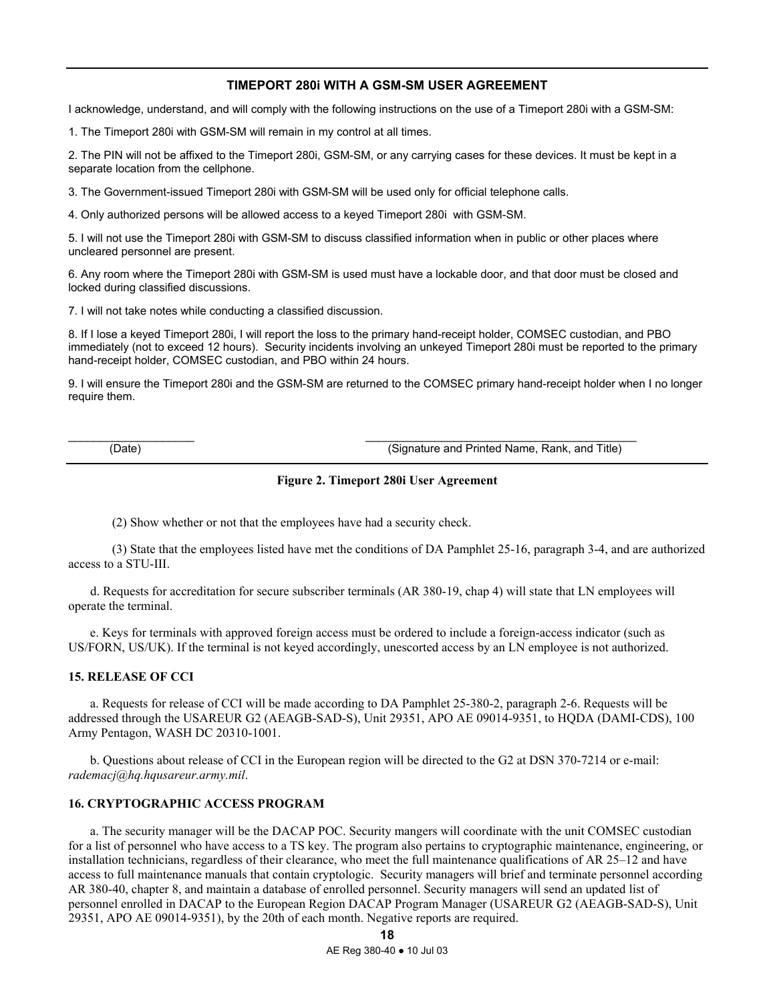# **TIMEPORT 280i WITH A GSM-SM USER AGREEMENT**

I acknowledge, understand, and will comply with the following instructions on the use of a Timeport 280i with a GSM-SM:

1. The Timeport 280i with GSM-SM will remain in my control at all times.

2. The PIN will not be affixed to the Timeport 280i, GSM-SM, or any carrying cases for these devices. It must be kept in a separate location from the cellphone.

3. The Government-issued Timeport 280i with GSM-SM will be used only for official telephone calls.

4. Only authorized persons will be allowed access to a keyed Timeport 280i with GSM-SM.

5. I will not use the Timeport 280i with GSM-SM to discuss classified information when in public or other places where uncleared personnel are present.

6. Any room where the Timeport 280i with GSM-SM is used must have a lockable door, and that door must be closed and locked during classified discussions.

7. I will not take notes while conducting a classified discussion.

8. If I lose a keyed Timeport 280i, I will report the loss to the primary hand-receipt holder, COMSEC custodian, and PBO immediately (not to exceed 12 hours). Security incidents involving an unkeyed Timeport 280i must be reported to the primary hand-receipt holder, COMSEC custodian, and PBO within 24 hours.

9. I will ensure the Timeport 280i and the GSM-SM are returned to the COMSEC primary hand-receipt holder when I no longer require them.

\_\_\_\_\_\_\_\_\_\_\_\_\_\_\_\_\_\_\_\_ \_\_\_\_\_\_\_\_\_\_\_\_\_\_\_\_\_\_\_\_\_\_\_\_\_\_\_\_\_\_\_\_\_\_\_\_\_\_\_\_\_\_\_

(Date) (Signature and Printed Name, Rank, and Title)

#### **Figure 2. Timeport 280i User Agreement**

(2) Show whether or not that the employees have had a security check.

 (3) State that the employees listed have met the conditions of DA Pamphlet 25-16, paragraph 3-4, and are authorized access to a STU-III.

 d. Requests for accreditation for secure subscriber terminals (AR 380-19, chap 4) will state that LN employees will operate the terminal.

 e. Keys for terminals with approved foreign access must be ordered to include a foreign-access indicator (such as US/FORN, US/UK). If the terminal is not keyed accordingly, unescorted access by an LN employee is not authorized.

### **15. RELEASE OF CCI**

 a. Requests for release of CCI will be made according to DA Pamphlet 25-380-2, paragraph 2-6. Requests will be addressed through the USAREUR G2 (AEAGB-SAD-S), Unit 29351, APO AE 09014-9351, to HQDA (DAMI-CDS), 100 Army Pentagon, WASH DC 20310-1001.

 b. Questions about release of CCI in the European region will be directed to the G2 at DSN 370-7214 or e-mail: *rademacj@hq.hqusareur.army.mil*.

### **16. CRYPTOGRAPHIC ACCESS PROGRAM**

 a. The security manager will be the DACAP POC. Security mangers will coordinate with the unit COMSEC custodian for a list of personnel who have access to a TS key. The program also pertains to cryptographic maintenance, engineering, or installation technicians, regardless of their clearance, who meet the full maintenance qualifications of AR 25–12 and have access to full maintenance manuals that contain cryptologic. Security managers will brief and terminate personnel according AR 380-40, chapter 8, and maintain a database of enrolled personnel. Security managers will send an updated list of personnel enrolled in DACAP to the European Region DACAP Program Manager (USAREUR G2 (AEAGB-SAD-S), Unit 29351, APO AE 09014-9351), by the 20th of each month. Negative reports are required.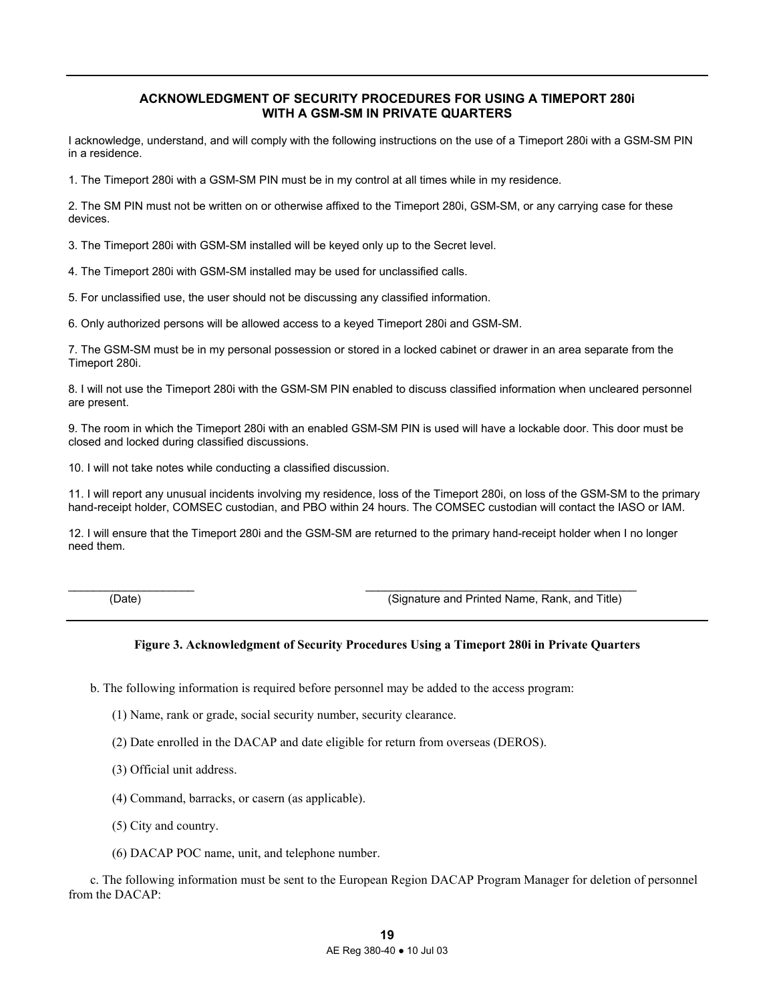# **ACKNOWLEDGMENT OF SECURITY PROCEDURES FOR USING A TIMEPORT 280i WITH A GSM-SM IN PRIVATE QUARTERS**

I acknowledge, understand, and will comply with the following instructions on the use of a Timeport 280i with a GSM-SM PIN in a residence.

1. The Timeport 280i with a GSM-SM PIN must be in my control at all times while in my residence.

2. The SM PIN must not be written on or otherwise affixed to the Timeport 280i, GSM-SM, or any carrying case for these devices.

3. The Timeport 280i with GSM-SM installed will be keyed only up to the Secret level.

4. The Timeport 280i with GSM-SM installed may be used for unclassified calls.

5. For unclassified use, the user should not be discussing any classified information.

6. Only authorized persons will be allowed access to a keyed Timeport 280i and GSM-SM.

7. The GSM-SM must be in my personal possession or stored in a locked cabinet or drawer in an area separate from the Timeport 280i.

8. I will not use the Timeport 280i with the GSM-SM PIN enabled to discuss classified information when uncleared personnel are present.

9. The room in which the Timeport 280i with an enabled GSM-SM PIN is used will have a lockable door. This door must be closed and locked during classified discussions.

10. I will not take notes while conducting a classified discussion.

11. I will report any unusual incidents involving my residence, loss of the Timeport 280i, on loss of the GSM-SM to the primary hand-receipt holder, COMSEC custodian, and PBO within 24 hours. The COMSEC custodian will contact the IASO or IAM.

12. I will ensure that the Timeport 280i and the GSM-SM are returned to the primary hand-receipt holder when I no longer need them.

 $\_$  , and the set of the set of the set of the set of the set of the set of the set of the set of the set of the set of the set of the set of the set of the set of the set of the set of the set of the set of the set of th

(Date) (Signature and Printed Name, Rank, and Title)

# **Figure 3. Acknowledgment of Security Procedures Using a Timeport 280i in Private Quarters**

b. The following information is required before personnel may be added to the access program:

- (1) Name, rank or grade, social security number, security clearance.
- (2) Date enrolled in the DACAP and date eligible for return from overseas (DEROS).
- (3) Official unit address.
- (4) Command, barracks, or casern (as applicable).
- (5) City and country.
- (6) DACAP POC name, unit, and telephone number.

 c. The following information must be sent to the European Region DACAP Program Manager for deletion of personnel from the DACAP: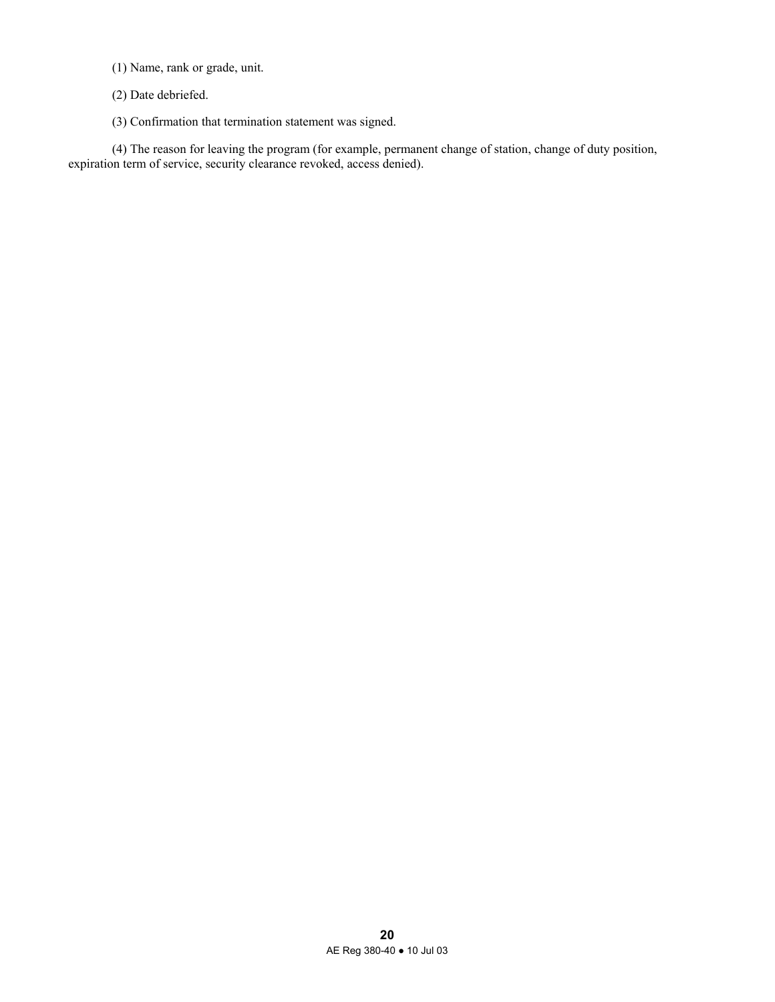- (1) Name, rank or grade, unit.
- (2) Date debriefed.
- (3) Confirmation that termination statement was signed.

 (4) The reason for leaving the program (for example, permanent change of station, change of duty position, expiration term of service, security clearance revoked, access denied).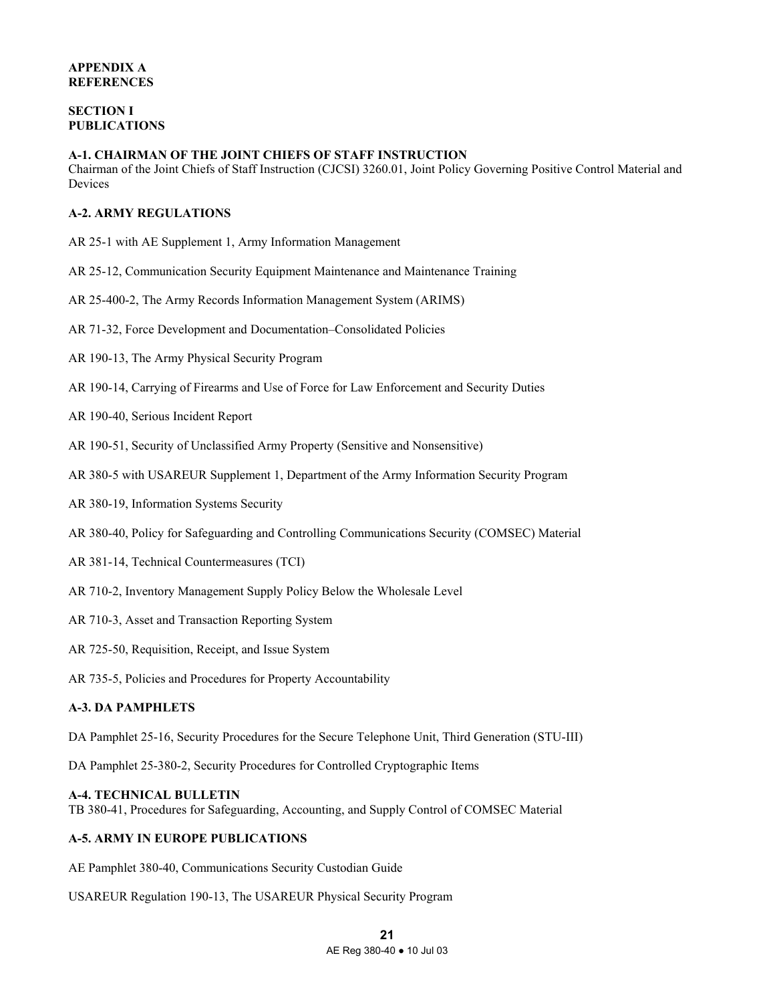# **SECTION I PUBLICATIONS**

### **A-1. CHAIRMAN OF THE JOINT CHIEFS OF STAFF INSTRUCTION**

Chairman of the Joint Chiefs of Staff Instruction (CJCSI) 3260.01, Joint Policy Governing Positive Control Material and Devices

# **A-2. ARMY REGULATIONS**

- AR 25-1 with AE Supplement 1, Army Information Management
- AR 25-12, Communication Security Equipment Maintenance and Maintenance Training
- AR 25-400-2, The Army Records Information Management System (ARIMS)
- AR 71-32, Force Development and Documentation–Consolidated Policies
- AR 190-13, The Army Physical Security Program
- AR 190-14, Carrying of Firearms and Use of Force for Law Enforcement and Security Duties
- AR 190-40, Serious Incident Report
- AR 190-51, Security of Unclassified Army Property (Sensitive and Nonsensitive)
- AR 380-5 with USAREUR Supplement 1, Department of the Army Information Security Program
- AR 380-19, Information Systems Security
- AR 380-40, Policy for Safeguarding and Controlling Communications Security (COMSEC) Material
- AR 381-14, Technical Countermeasures (TCI)
- AR 710-2, Inventory Management Supply Policy Below the Wholesale Level
- AR 710-3, Asset and Transaction Reporting System
- AR 725-50, Requisition, Receipt, and Issue System
- AR 735-5, Policies and Procedures for Property Accountability

# **A-3. DA PAMPHLETS**

DA Pamphlet 25-16, Security Procedures for the Secure Telephone Unit, Third Generation (STU-III)

DA Pamphlet 25-380-2, Security Procedures for Controlled Cryptographic Items

#### **A-4. TECHNICAL BULLETIN**

TB 380-41, Procedures for Safeguarding, Accounting, and Supply Control of COMSEC Material

# **A-5. ARMY IN EUROPE PUBLICATIONS**

AE Pamphlet 380-40, Communications Security Custodian Guide

USAREUR Regulation 190-13, The USAREUR Physical Security Program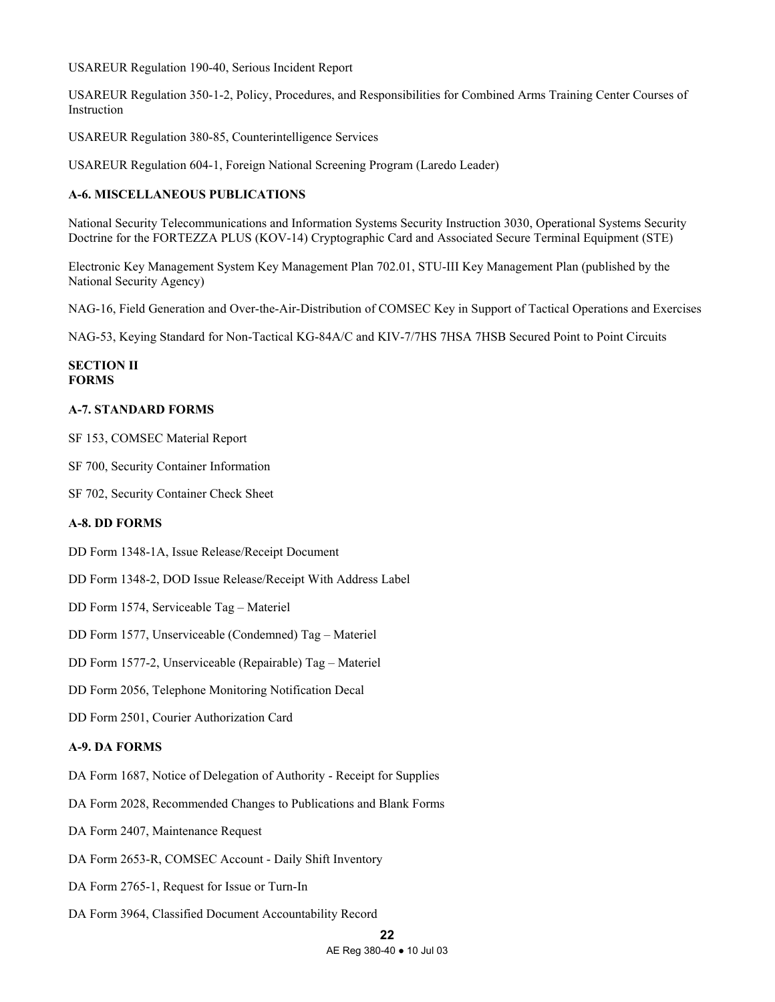USAREUR Regulation 190-40, Serious Incident Report

USAREUR Regulation 350-1-2, Policy, Procedures, and Responsibilities for Combined Arms Training Center Courses of Instruction

USAREUR Regulation 380-85, Counterintelligence Services

USAREUR Regulation 604-1, Foreign National Screening Program (Laredo Leader)

# **A-6. MISCELLANEOUS PUBLICATIONS**

National Security Telecommunications and Information Systems Security Instruction 3030, Operational Systems Security Doctrine for the FORTEZZA PLUS (KOV-14) Cryptographic Card and Associated Secure Terminal Equipment (STE)

Electronic Key Management System Key Management Plan 702.01, STU-III Key Management Plan (published by the National Security Agency)

NAG-16, Field Generation and Over-the-Air-Distribution of COMSEC Key in Support of Tactical Operations and Exercises

NAG-53, Keying Standard for Non-Tactical KG-84A/C and KIV-7/7HS 7HSA 7HSB Secured Point to Point Circuits

#### **SECTION II FORMS**

# **A-7. STANDARD FORMS**

SF 153, COMSEC Material Report

SF 700, Security Container Information

SF 702, Security Container Check Sheet

### **A-8. DD FORMS**

DD Form 1348-1A, Issue Release/Receipt Document

DD Form 1348-2, DOD Issue Release/Receipt With Address Label

DD Form 1574, Serviceable Tag – Materiel

DD Form 1577, Unserviceable (Condemned) Tag – Materiel

DD Form 1577-2, Unserviceable (Repairable) Tag – Materiel

DD Form 2056, Telephone Monitoring Notification Decal

DD Form 2501, Courier Authorization Card

# **A-9. DA FORMS**

DA Form 1687, Notice of Delegation of Authority - Receipt for Supplies

DA Form 2028, Recommended Changes to Publications and Blank Forms

DA Form 2407, Maintenance Request

DA Form 2653-R, COMSEC Account - Daily Shift Inventory

DA Form 2765-1, Request for Issue or Turn-In

DA Form 3964, Classified Document Accountability Record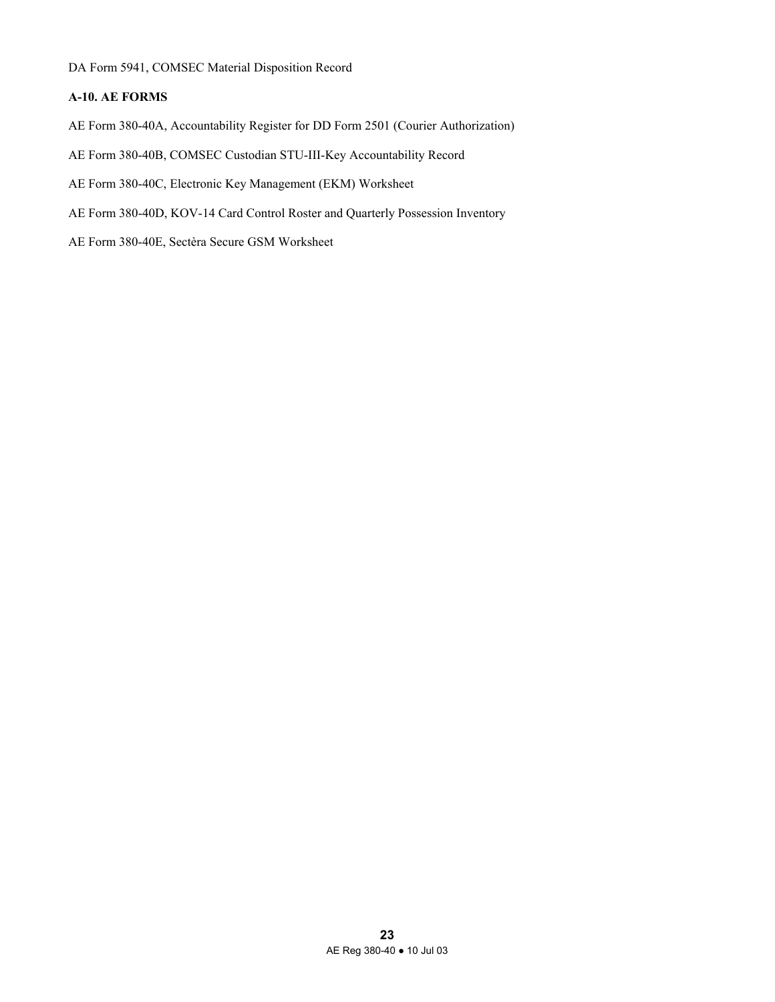DA Form 5941, COMSEC Material Disposition Record

# **A-10. AE FORMS**

- AE Form 380-40A, Accountability Register for DD Form 2501 (Courier Authorization)
- AE Form 380-40B, COMSEC Custodian STU-III-Key Accountability Record
- AE Form 380-40C, Electronic Key Management (EKM) Worksheet
- AE Form 380-40D, KOV-14 Card Control Roster and Quarterly Possession Inventory
- AE Form 380-40E, Sectèra Secure GSM Worksheet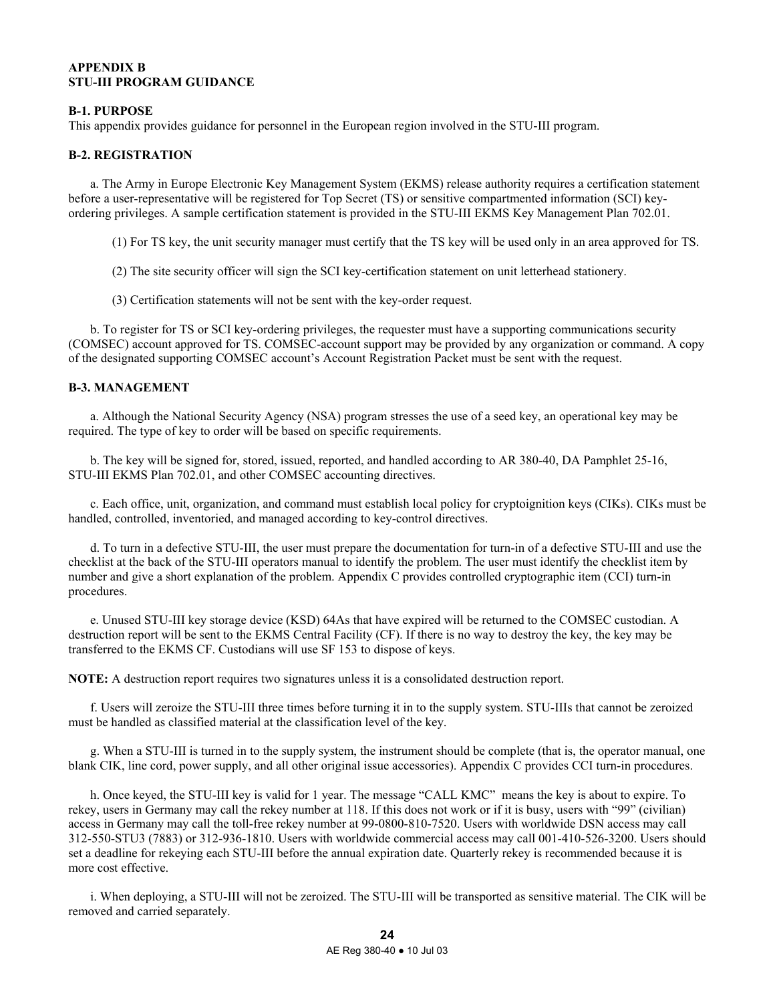#### **APPENDIX B STU-III PROGRAM GUIDANCE**

### **B-1. PURPOSE**

This appendix provides guidance for personnel in the European region involved in the STU-III program.

### **B-2. REGISTRATION**

 a. The Army in Europe Electronic Key Management System (EKMS) release authority requires a certification statement before a user-representative will be registered for Top Secret (TS) or sensitive compartmented information (SCI) keyordering privileges. A sample certification statement is provided in the STU-III EKMS Key Management Plan 702.01.

(1) For TS key, the unit security manager must certify that the TS key will be used only in an area approved for TS.

(2) The site security officer will sign the SCI key-certification statement on unit letterhead stationery.

(3) Certification statements will not be sent with the key-order request.

 b. To register for TS or SCI key-ordering privileges, the requester must have a supporting communications security (COMSEC) account approved for TS. COMSEC-account support may be provided by any organization or command. A copy of the designated supporting COMSEC account's Account Registration Packet must be sent with the request.

### **B-3. MANAGEMENT**

 a. Although the National Security Agency (NSA) program stresses the use of a seed key, an operational key may be required. The type of key to order will be based on specific requirements.

 b. The key will be signed for, stored, issued, reported, and handled according to AR 380-40, DA Pamphlet 25-16, STU-III EKMS Plan 702.01, and other COMSEC accounting directives.

 c. Each office, unit, organization, and command must establish local policy for cryptoignition keys (CIKs). CIKs must be handled, controlled, inventoried, and managed according to key-control directives.

 d. To turn in a defective STU-III, the user must prepare the documentation for turn-in of a defective STU-III and use the checklist at the back of the STU-III operators manual to identify the problem. The user must identify the checklist item by number and give a short explanation of the problem. Appendix C provides controlled cryptographic item (CCI) turn-in procedures.

 e. Unused STU-III key storage device (KSD) 64As that have expired will be returned to the COMSEC custodian. A destruction report will be sent to the EKMS Central Facility (CF). If there is no way to destroy the key, the key may be transferred to the EKMS CF. Custodians will use SF 153 to dispose of keys.

**NOTE:** A destruction report requires two signatures unless it is a consolidated destruction report.

 f. Users will zeroize the STU-III three times before turning it in to the supply system. STU-IIIs that cannot be zeroized must be handled as classified material at the classification level of the key.

 g. When a STU-III is turned in to the supply system, the instrument should be complete (that is, the operator manual, one blank CIK, line cord, power supply, and all other original issue accessories). Appendix C provides CCI turn-in procedures.

 h. Once keyed, the STU-III key is valid for 1 year. The message "CALL KMC" means the key is about to expire. To rekey, users in Germany may call the rekey number at 118. If this does not work or if it is busy, users with "99" (civilian) access in Germany may call the toll-free rekey number at 99-0800-810-7520. Users with worldwide DSN access may call 312-550-STU3 (7883) or 312-936-1810. Users with worldwide commercial access may call 001-410-526-3200. Users should set a deadline for rekeying each STU-III before the annual expiration date. Quarterly rekey is recommended because it is more cost effective.

 i. When deploying, a STU-III will not be zeroized. The STU-III will be transported as sensitive material. The CIK will be removed and carried separately.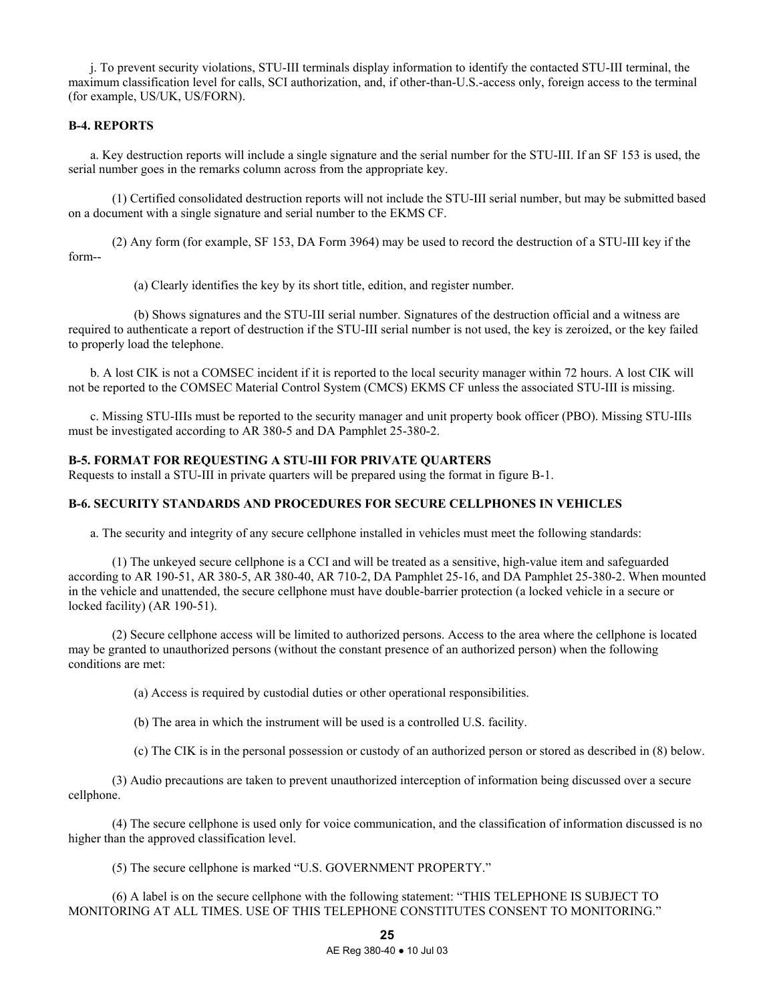j. To prevent security violations, STU-III terminals display information to identify the contacted STU-III terminal, the maximum classification level for calls, SCI authorization, and, if other-than-U.S.-access only, foreign access to the terminal (for example, US/UK, US/FORN).

# **B-4. REPORTS**

 a. Key destruction reports will include a single signature and the serial number for the STU-III. If an SF 153 is used, the serial number goes in the remarks column across from the appropriate key.

 (1) Certified consolidated destruction reports will not include the STU-III serial number, but may be submitted based on a document with a single signature and serial number to the EKMS CF.

 (2) Any form (for example, SF 153, DA Form 3964) may be used to record the destruction of a STU-III key if the form--

(a) Clearly identifies the key by its short title, edition, and register number.

 (b) Shows signatures and the STU-III serial number. Signatures of the destruction official and a witness are required to authenticate a report of destruction if the STU-III serial number is not used, the key is zeroized, or the key failed to properly load the telephone.

 b. A lost CIK is not a COMSEC incident if it is reported to the local security manager within 72 hours. A lost CIK will not be reported to the COMSEC Material Control System (CMCS) EKMS CF unless the associated STU-III is missing.

 c. Missing STU-IIIs must be reported to the security manager and unit property book officer (PBO). Missing STU-IIIs must be investigated according to AR 380-5 and DA Pamphlet 25-380-2.

# **B-5. FORMAT FOR REQUESTING A STU-III FOR PRIVATE QUARTERS**

Requests to install a STU-III in private quarters will be prepared using the format in figure B-1.

### **B-6. SECURITY STANDARDS AND PROCEDURES FOR SECURE CELLPHONES IN VEHICLES**

a. The security and integrity of any secure cellphone installed in vehicles must meet the following standards:

 (1) The unkeyed secure cellphone is a CCI and will be treated as a sensitive, high-value item and safeguarded according to AR 190-51, AR 380-5, AR 380-40, AR 710-2, DA Pamphlet 25-16, and DA Pamphlet 25-380-2. When mounted in the vehicle and unattended, the secure cellphone must have double-barrier protection (a locked vehicle in a secure or locked facility) (AR 190-51).

 (2) Secure cellphone access will be limited to authorized persons. Access to the area where the cellphone is located may be granted to unauthorized persons (without the constant presence of an authorized person) when the following conditions are met:

(a) Access is required by custodial duties or other operational responsibilities.

(b) The area in which the instrument will be used is a controlled U.S. facility.

(c) The CIK is in the personal possession or custody of an authorized person or stored as described in (8) below.

 (3) Audio precautions are taken to prevent unauthorized interception of information being discussed over a secure cellphone.

 (4) The secure cellphone is used only for voice communication, and the classification of information discussed is no higher than the approved classification level.

(5) The secure cellphone is marked "U.S. GOVERNMENT PROPERTY."

 (6) A label is on the secure cellphone with the following statement: "THIS TELEPHONE IS SUBJECT TO MONITORING AT ALL TIMES. USE OF THIS TELEPHONE CONSTITUTES CONSENT TO MONITORING."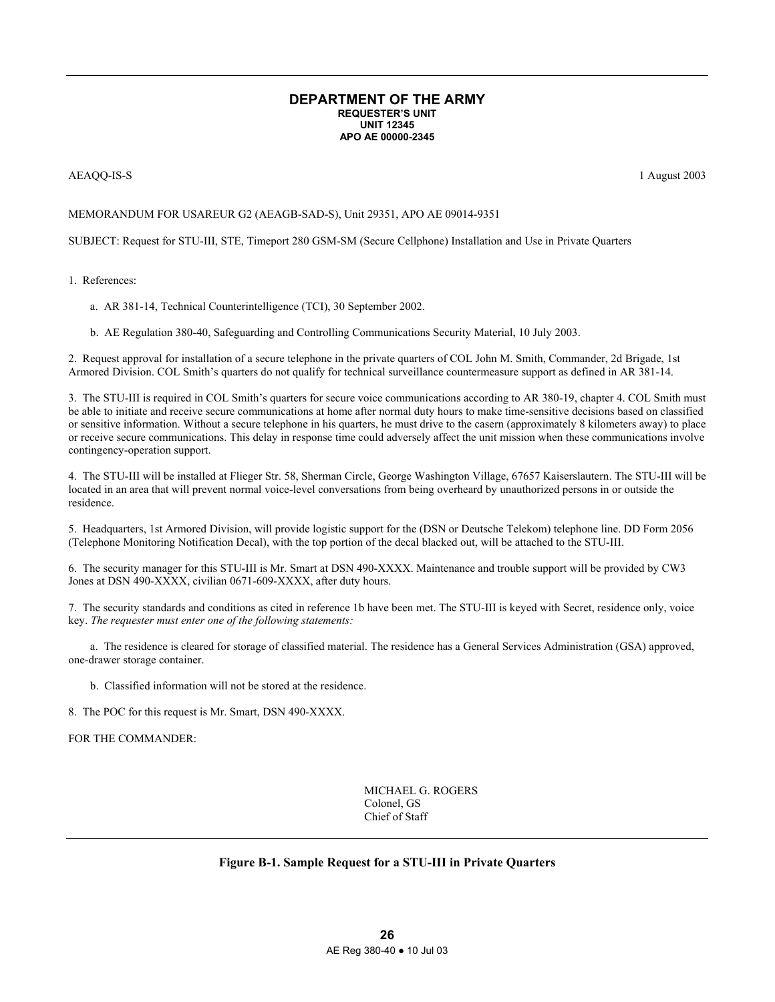#### **DEPARTMENT OF THE ARMY REQUESTER'S UNIT UNIT 12345 APO AE 00000-2345**

#### AEAQQ-IS-S 1 August 2003

#### MEMORANDUM FOR USAREUR G2 (AEAGB-SAD-S), Unit 29351, APO AE 09014-9351

SUBJECT: Request for STU-III, STE, Timeport 280 GSM-SM (Secure Cellphone) Installation and Use in Private Quarters

1. References:

a. AR 381-14, Technical Counterintelligence (TCI), 30 September 2002.

b. AE Regulation 380-40, Safeguarding and Controlling Communications Security Material, 10 July 2003.

2. Request approval for installation of a secure telephone in the private quarters of COL John M. Smith, Commander, 2d Brigade, 1st Armored Division. COL Smith's quarters do not qualify for technical surveillance countermeasure support as defined in AR 381-14.

3. The STU-III is required in COL Smith's quarters for secure voice communications according to AR 380-19, chapter 4. COL Smith must be able to initiate and receive secure communications at home after normal duty hours to make time-sensitive decisions based on classified or sensitive information. Without a secure telephone in his quarters, he must drive to the casern (approximately 8 kilometers away) to place or receive secure communications. This delay in response time could adversely affect the unit mission when these communications involve contingency-operation support.

4. The STU-III will be installed at Flieger Str. 58, Sherman Circle, George Washington Village, 67657 Kaiserslautern. The STU-III will be located in an area that will prevent normal voice-level conversations from being overheard by unauthorized persons in or outside the residence.

5. Headquarters, 1st Armored Division, will provide logistic support for the (DSN or Deutsche Telekom) telephone line. DD Form 2056 (Telephone Monitoring Notification Decal), with the top portion of the decal blacked out, will be attached to the STU-III.

6. The security manager for this STU-III is Mr. Smart at DSN 490-XXXX. Maintenance and trouble support will be provided by CW3 Jones at DSN 490-XXXX, civilian 0671-609-XXXX, after duty hours.

7. The security standards and conditions as cited in reference 1b have been met. The STU-III is keyed with Secret, residence only, voice key. *The requester must enter one of the following statements:*

 a. The residence is cleared for storage of classified material. The residence has a General Services Administration (GSA) approved, one-drawer storage container.

b. Classified information will not be stored at the residence.

8. The POC for this request is Mr. Smart, DSN 490-XXXX.

FOR THE COMMANDER:

 MICHAEL G. ROGERS Colonel, GS Chief of Staff

# **Figure B-1. Sample Request for a STU-III in Private Quarters**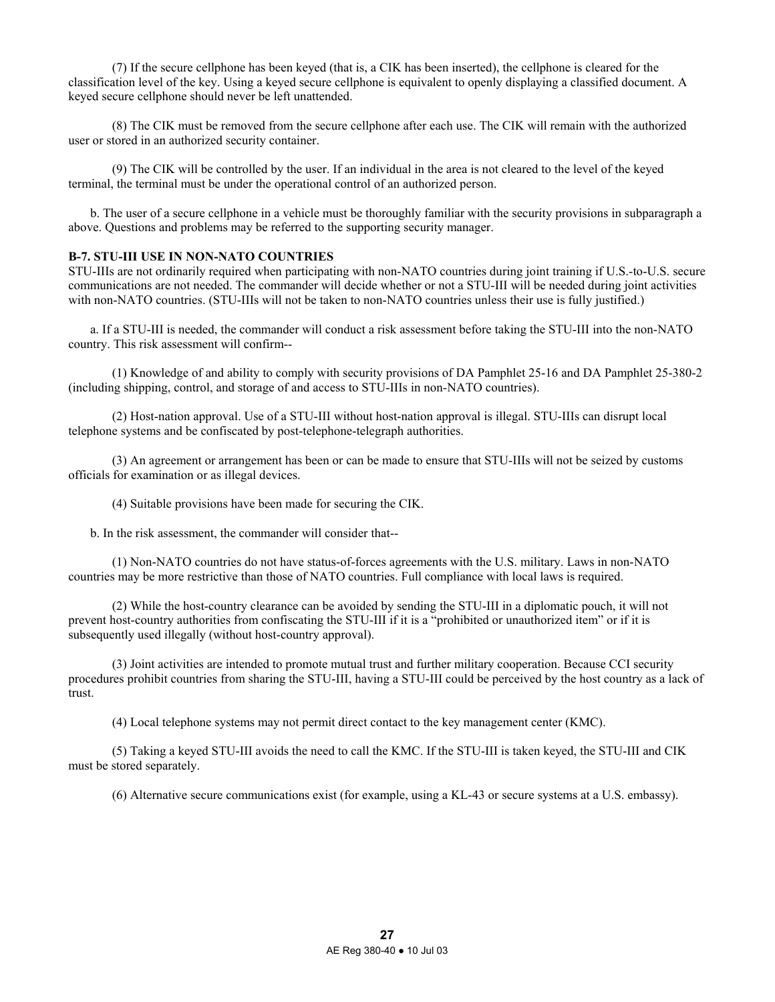(7) If the secure cellphone has been keyed (that is, a CIK has been inserted), the cellphone is cleared for the classification level of the key. Using a keyed secure cellphone is equivalent to openly displaying a classified document. A keyed secure cellphone should never be left unattended.

 (8) The CIK must be removed from the secure cellphone after each use. The CIK will remain with the authorized user or stored in an authorized security container.

 (9) The CIK will be controlled by the user. If an individual in the area is not cleared to the level of the keyed terminal, the terminal must be under the operational control of an authorized person.

 b. The user of a secure cellphone in a vehicle must be thoroughly familiar with the security provisions in subparagraph a above. Questions and problems may be referred to the supporting security manager.

### **B-7. STU-III USE IN NON-NATO COUNTRIES**

STU-IIIs are not ordinarily required when participating with non-NATO countries during joint training if U.S.-to-U.S. secure communications are not needed. The commander will decide whether or not a STU-III will be needed during joint activities with non-NATO countries. (STU-IIIs will not be taken to non-NATO countries unless their use is fully justified.)

 a. If a STU-III is needed, the commander will conduct a risk assessment before taking the STU-III into the non-NATO country. This risk assessment will confirm--

 (1) Knowledge of and ability to comply with security provisions of DA Pamphlet 25-16 and DA Pamphlet 25-380-2 (including shipping, control, and storage of and access to STU-IIIs in non-NATO countries).

 (2) Host-nation approval. Use of a STU-III without host-nation approval is illegal. STU-IIIs can disrupt local telephone systems and be confiscated by post-telephone-telegraph authorities.

 (3) An agreement or arrangement has been or can be made to ensure that STU-IIIs will not be seized by customs officials for examination or as illegal devices.

(4) Suitable provisions have been made for securing the CIK.

b. In the risk assessment, the commander will consider that--

 (1) Non-NATO countries do not have status-of-forces agreements with the U.S. military. Laws in non-NATO countries may be more restrictive than those of NATO countries. Full compliance with local laws is required.

 (2) While the host-country clearance can be avoided by sending the STU-III in a diplomatic pouch, it will not prevent host-country authorities from confiscating the STU-III if it is a "prohibited or unauthorized item" or if it is subsequently used illegally (without host-country approval).

 (3) Joint activities are intended to promote mutual trust and further military cooperation. Because CCI security procedures prohibit countries from sharing the STU-III, having a STU-III could be perceived by the host country as a lack of trust.

(4) Local telephone systems may not permit direct contact to the key management center (KMC).

 (5) Taking a keyed STU-III avoids the need to call the KMC. If the STU-III is taken keyed, the STU-III and CIK must be stored separately.

(6) Alternative secure communications exist (for example, using a KL-43 or secure systems at a U.S. embassy).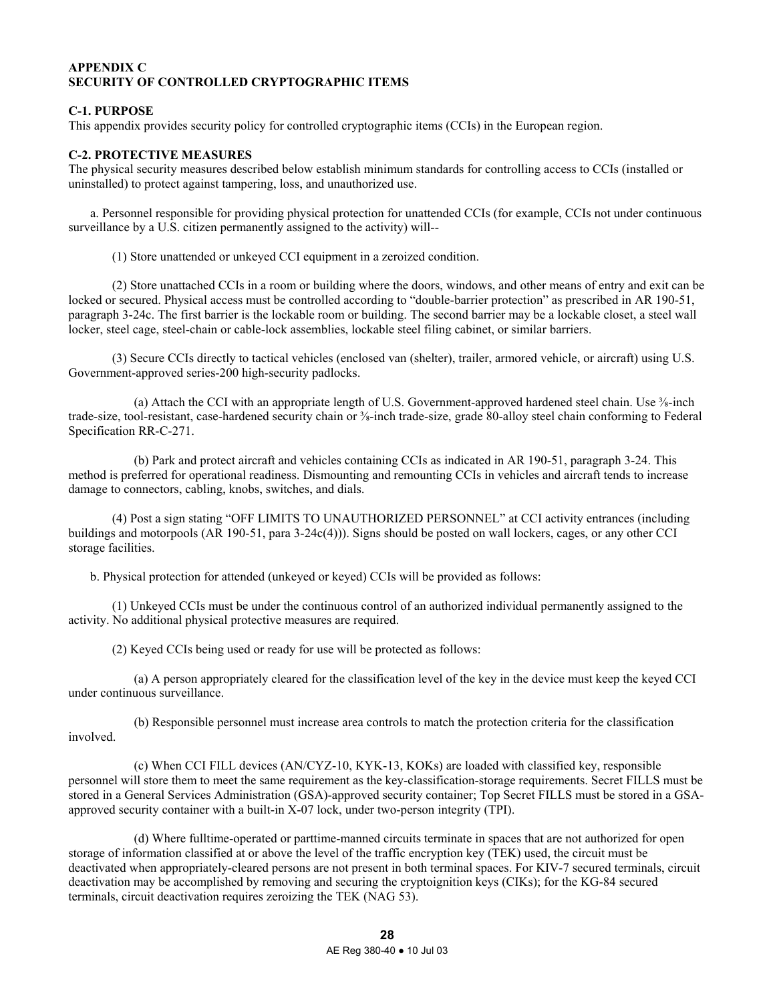# **APPENDIX C SECURITY OF CONTROLLED CRYPTOGRAPHIC ITEMS**

# **C-1. PURPOSE**

This appendix provides security policy for controlled cryptographic items (CCIs) in the European region.

# **C-2. PROTECTIVE MEASURES**

The physical security measures described below establish minimum standards for controlling access to CCIs (installed or uninstalled) to protect against tampering, loss, and unauthorized use.

 a. Personnel responsible for providing physical protection for unattended CCIs (for example, CCIs not under continuous surveillance by a U.S. citizen permanently assigned to the activity) will--

(1) Store unattended or unkeyed CCI equipment in a zeroized condition.

 (2) Store unattached CCIs in a room or building where the doors, windows, and other means of entry and exit can be locked or secured. Physical access must be controlled according to "double-barrier protection" as prescribed in AR 190-51, paragraph 3-24c. The first barrier is the lockable room or building. The second barrier may be a lockable closet, a steel wall locker, steel cage, steel-chain or cable-lock assemblies, lockable steel filing cabinet, or similar barriers.

 (3) Secure CCIs directly to tactical vehicles (enclosed van (shelter), trailer, armored vehicle, or aircraft) using U.S. Government-approved series-200 high-security padlocks.

(a) Attach the CCI with an appropriate length of U.S. Government-approved hardened steel chain. Use  $\frac{3}{8}$ -inch trade-size, tool-resistant, case-hardened security chain or ⅜-inch trade-size, grade 80-alloy steel chain conforming to Federal Specification RR-C-271.

 (b) Park and protect aircraft and vehicles containing CCIs as indicated in AR 190-51, paragraph 3-24. This method is preferred for operational readiness. Dismounting and remounting CCIs in vehicles and aircraft tends to increase damage to connectors, cabling, knobs, switches, and dials.

 (4) Post a sign stating "OFF LIMITS TO UNAUTHORIZED PERSONNEL" at CCI activity entrances (including buildings and motorpools (AR 190-51, para 3-24c(4))). Signs should be posted on wall lockers, cages, or any other CCI storage facilities.

b. Physical protection for attended (unkeyed or keyed) CCIs will be provided as follows:

 (1) Unkeyed CCIs must be under the continuous control of an authorized individual permanently assigned to the activity. No additional physical protective measures are required.

(2) Keyed CCIs being used or ready for use will be protected as follows:

 (a) A person appropriately cleared for the classification level of the key in the device must keep the keyed CCI under continuous surveillance.

 (b) Responsible personnel must increase area controls to match the protection criteria for the classification involved.

 (c) When CCI FILL devices (AN/CYZ-10, KYK-13, KOKs) are loaded with classified key, responsible personnel will store them to meet the same requirement as the key-classification-storage requirements. Secret FILLS must be stored in a General Services Administration (GSA)-approved security container; Top Secret FILLS must be stored in a GSAapproved security container with a built-in X-07 lock, under two-person integrity (TPI).

 (d) Where fulltime-operated or parttime-manned circuits terminate in spaces that are not authorized for open storage of information classified at or above the level of the traffic encryption key (TEK) used, the circuit must be deactivated when appropriately-cleared persons are not present in both terminal spaces. For KIV-7 secured terminals, circuit deactivation may be accomplished by removing and securing the cryptoignition keys (CIKs); for the KG-84 secured terminals, circuit deactivation requires zeroizing the TEK (NAG 53).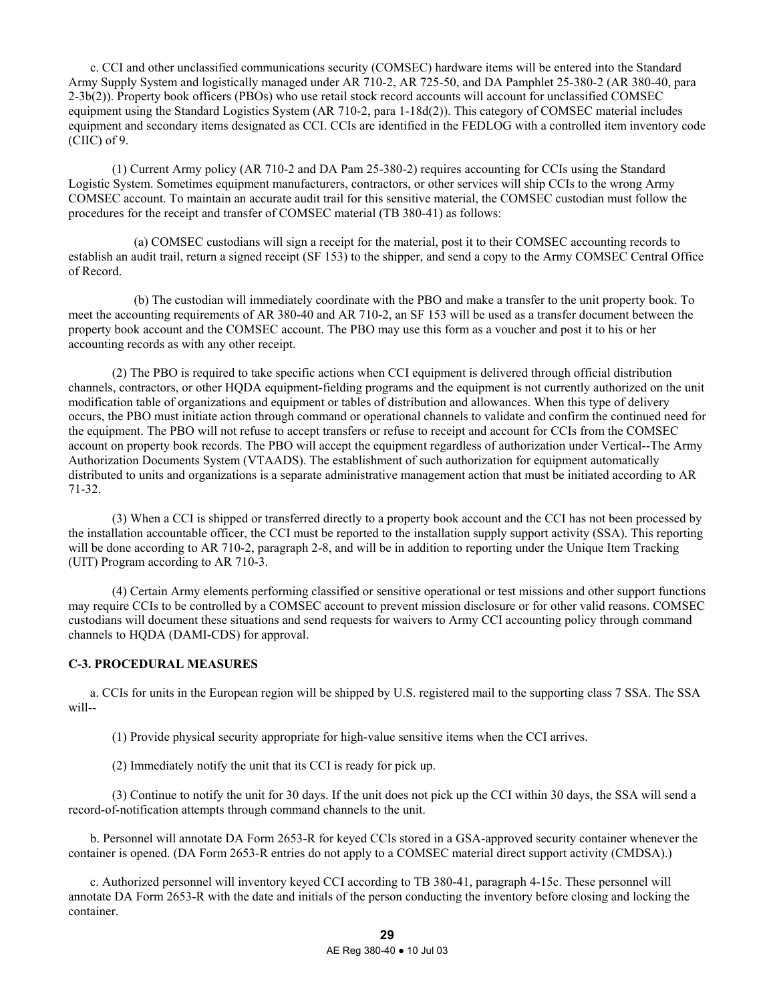c. CCI and other unclassified communications security (COMSEC) hardware items will be entered into the Standard Army Supply System and logistically managed under AR 710-2, AR 725-50, and DA Pamphlet 25-380-2 (AR 380-40, para 2-3b(2)). Property book officers (PBOs) who use retail stock record accounts will account for unclassified COMSEC equipment using the Standard Logistics System (AR 710-2, para 1-18d(2)). This category of COMSEC material includes equipment and secondary items designated as CCI. CCIs are identified in the FEDLOG with a controlled item inventory code (CIIC) of 9.

 (1) Current Army policy (AR 710-2 and DA Pam 25-380-2) requires accounting for CCIs using the Standard Logistic System. Sometimes equipment manufacturers, contractors, or other services will ship CCIs to the wrong Army COMSEC account. To maintain an accurate audit trail for this sensitive material, the COMSEC custodian must follow the procedures for the receipt and transfer of COMSEC material (TB 380-41) as follows:

 (a) COMSEC custodians will sign a receipt for the material, post it to their COMSEC accounting records to establish an audit trail, return a signed receipt (SF 153) to the shipper, and send a copy to the Army COMSEC Central Office of Record.

 (b) The custodian will immediately coordinate with the PBO and make a transfer to the unit property book. To meet the accounting requirements of AR 380-40 and AR 710-2, an SF 153 will be used as a transfer document between the property book account and the COMSEC account. The PBO may use this form as a voucher and post it to his or her accounting records as with any other receipt.

 (2) The PBO is required to take specific actions when CCI equipment is delivered through official distribution channels, contractors, or other HQDA equipment-fielding programs and the equipment is not currently authorized on the unit modification table of organizations and equipment or tables of distribution and allowances. When this type of delivery occurs, the PBO must initiate action through command or operational channels to validate and confirm the continued need for the equipment. The PBO will not refuse to accept transfers or refuse to receipt and account for CCIs from the COMSEC account on property book records. The PBO will accept the equipment regardless of authorization under Vertical--The Army Authorization Documents System (VTAADS). The establishment of such authorization for equipment automatically distributed to units and organizations is a separate administrative management action that must be initiated according to AR 71-32.

 (3) When a CCI is shipped or transferred directly to a property book account and the CCI has not been processed by the installation accountable officer, the CCI must be reported to the installation supply support activity (SSA). This reporting will be done according to AR 710-2, paragraph 2-8, and will be in addition to reporting under the Unique Item Tracking (UIT) Program according to AR 710-3.

 (4) Certain Army elements performing classified or sensitive operational or test missions and other support functions may require CCIs to be controlled by a COMSEC account to prevent mission disclosure or for other valid reasons. COMSEC custodians will document these situations and send requests for waivers to Army CCI accounting policy through command channels to HQDA (DAMI-CDS) for approval.

# **C-3. PROCEDURAL MEASURES**

 a. CCIs for units in the European region will be shipped by U.S. registered mail to the supporting class 7 SSA. The SSA will--

(1) Provide physical security appropriate for high-value sensitive items when the CCI arrives.

(2) Immediately notify the unit that its CCI is ready for pick up.

 (3) Continue to notify the unit for 30 days. If the unit does not pick up the CCI within 30 days, the SSA will send a record-of-notification attempts through command channels to the unit.

 b. Personnel will annotate DA Form 2653-R for keyed CCIs stored in a GSA-approved security container whenever the container is opened. (DA Form 2653-R entries do not apply to a COMSEC material direct support activity (CMDSA).)

 c. Authorized personnel will inventory keyed CCI according to TB 380-41, paragraph 4-15c. These personnel will annotate DA Form 2653-R with the date and initials of the person conducting the inventory before closing and locking the container.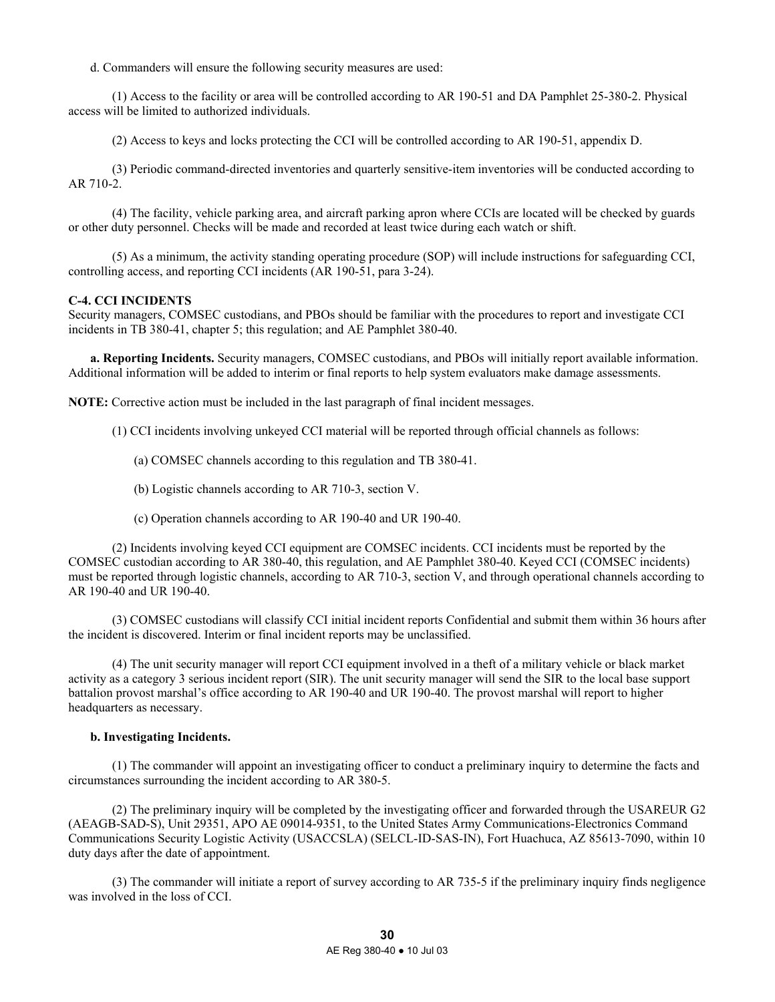d. Commanders will ensure the following security measures are used:

 (1) Access to the facility or area will be controlled according to AR 190-51 and DA Pamphlet 25-380-2. Physical access will be limited to authorized individuals.

(2) Access to keys and locks protecting the CCI will be controlled according to AR 190-51, appendix D.

 (3) Periodic command-directed inventories and quarterly sensitive-item inventories will be conducted according to AR 710-2.

 (4) The facility, vehicle parking area, and aircraft parking apron where CCIs are located will be checked by guards or other duty personnel. Checks will be made and recorded at least twice during each watch or shift.

 (5) As a minimum, the activity standing operating procedure (SOP) will include instructions for safeguarding CCI, controlling access, and reporting CCI incidents (AR 190-51, para 3-24).

### **C-4. CCI INCIDENTS**

Security managers, COMSEC custodians, and PBOs should be familiar with the procedures to report and investigate CCI incidents in TB 380-41, chapter 5; this regulation; and AE Pamphlet 380-40.

**a. Reporting Incidents.** Security managers, COMSEC custodians, and PBOs will initially report available information. Additional information will be added to interim or final reports to help system evaluators make damage assessments.

**NOTE:** Corrective action must be included in the last paragraph of final incident messages.

(1) CCI incidents involving unkeyed CCI material will be reported through official channels as follows:

(a) COMSEC channels according to this regulation and TB 380-41.

- (b) Logistic channels according to AR 710-3, section V.
- (c) Operation channels according to AR 190-40 and UR 190-40.

 (2) Incidents involving keyed CCI equipment are COMSEC incidents. CCI incidents must be reported by the COMSEC custodian according to AR 380-40, this regulation, and AE Pamphlet 380-40. Keyed CCI (COMSEC incidents) must be reported through logistic channels, according to AR 710-3, section V, and through operational channels according to AR 190-40 and UR 190-40.

 (3) COMSEC custodians will classify CCI initial incident reports Confidential and submit them within 36 hours after the incident is discovered. Interim or final incident reports may be unclassified.

 (4) The unit security manager will report CCI equipment involved in a theft of a military vehicle or black market activity as a category 3 serious incident report (SIR). The unit security manager will send the SIR to the local base support battalion provost marshal's office according to AR 190-40 and UR 190-40. The provost marshal will report to higher headquarters as necessary.

#### **b. Investigating Incidents.**

 (1) The commander will appoint an investigating officer to conduct a preliminary inquiry to determine the facts and circumstances surrounding the incident according to AR 380-5.

 (2) The preliminary inquiry will be completed by the investigating officer and forwarded through the USAREUR G2 (AEAGB-SAD-S), Unit 29351, APO AE 09014-9351, to the United States Army Communications-Electronics Command Communications Security Logistic Activity (USACCSLA) (SELCL-ID-SAS-IN), Fort Huachuca, AZ 85613-7090, within 10 duty days after the date of appointment.

 (3) The commander will initiate a report of survey according to AR 735-5 if the preliminary inquiry finds negligence was involved in the loss of CCI.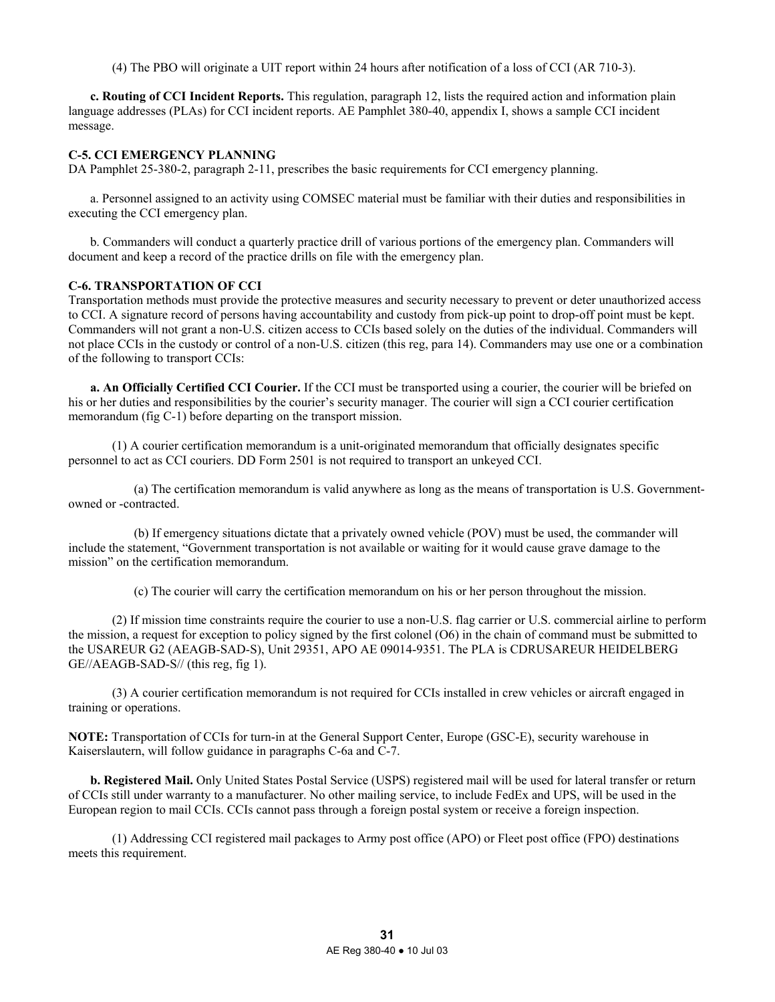(4) The PBO will originate a UIT report within 24 hours after notification of a loss of CCI (AR 710-3).

**c. Routing of CCI Incident Reports.** This regulation, paragraph 12, lists the required action and information plain language addresses (PLAs) for CCI incident reports. AE Pamphlet 380-40, appendix I, shows a sample CCI incident message.

# **C-5. CCI EMERGENCY PLANNING**

DA Pamphlet 25-380-2, paragraph 2-11, prescribes the basic requirements for CCI emergency planning.

 a. Personnel assigned to an activity using COMSEC material must be familiar with their duties and responsibilities in executing the CCI emergency plan.

 b. Commanders will conduct a quarterly practice drill of various portions of the emergency plan. Commanders will document and keep a record of the practice drills on file with the emergency plan.

# **C-6. TRANSPORTATION OF CCI**

Transportation methods must provide the protective measures and security necessary to prevent or deter unauthorized access to CCI. A signature record of persons having accountability and custody from pick-up point to drop-off point must be kept. Commanders will not grant a non-U.S. citizen access to CCIs based solely on the duties of the individual. Commanders will not place CCIs in the custody or control of a non-U.S. citizen (this reg, para 14). Commanders may use one or a combination of the following to transport CCIs:

**a. An Officially Certified CCI Courier.** If the CCI must be transported using a courier, the courier will be briefed on his or her duties and responsibilities by the courier's security manager. The courier will sign a CCI courier certification memorandum (fig C-1) before departing on the transport mission.

 (1) A courier certification memorandum is a unit-originated memorandum that officially designates specific personnel to act as CCI couriers. DD Form 2501 is not required to transport an unkeyed CCI.

 (a) The certification memorandum is valid anywhere as long as the means of transportation is U.S. Governmentowned or -contracted.

 (b) If emergency situations dictate that a privately owned vehicle (POV) must be used, the commander will include the statement, "Government transportation is not available or waiting for it would cause grave damage to the mission" on the certification memorandum.

(c) The courier will carry the certification memorandum on his or her person throughout the mission.

 (2) If mission time constraints require the courier to use a non-U.S. flag carrier or U.S. commercial airline to perform the mission, a request for exception to policy signed by the first colonel (O6) in the chain of command must be submitted to the USAREUR G2 (AEAGB-SAD-S), Unit 29351, APO AE 09014-9351. The PLA is CDRUSAREUR HEIDELBERG GE//AEAGB-SAD-S// (this reg, fig 1).

 (3) A courier certification memorandum is not required for CCIs installed in crew vehicles or aircraft engaged in training or operations.

**NOTE:** Transportation of CCIs for turn-in at the General Support Center, Europe (GSC-E), security warehouse in Kaiserslautern, will follow guidance in paragraphs C-6a and C-7.

**b. Registered Mail.** Only United States Postal Service (USPS) registered mail will be used for lateral transfer or return of CCIs still under warranty to a manufacturer. No other mailing service, to include FedEx and UPS, will be used in the European region to mail CCIs. CCIs cannot pass through a foreign postal system or receive a foreign inspection.

 (1) Addressing CCI registered mail packages to Army post office (APO) or Fleet post office (FPO) destinations meets this requirement.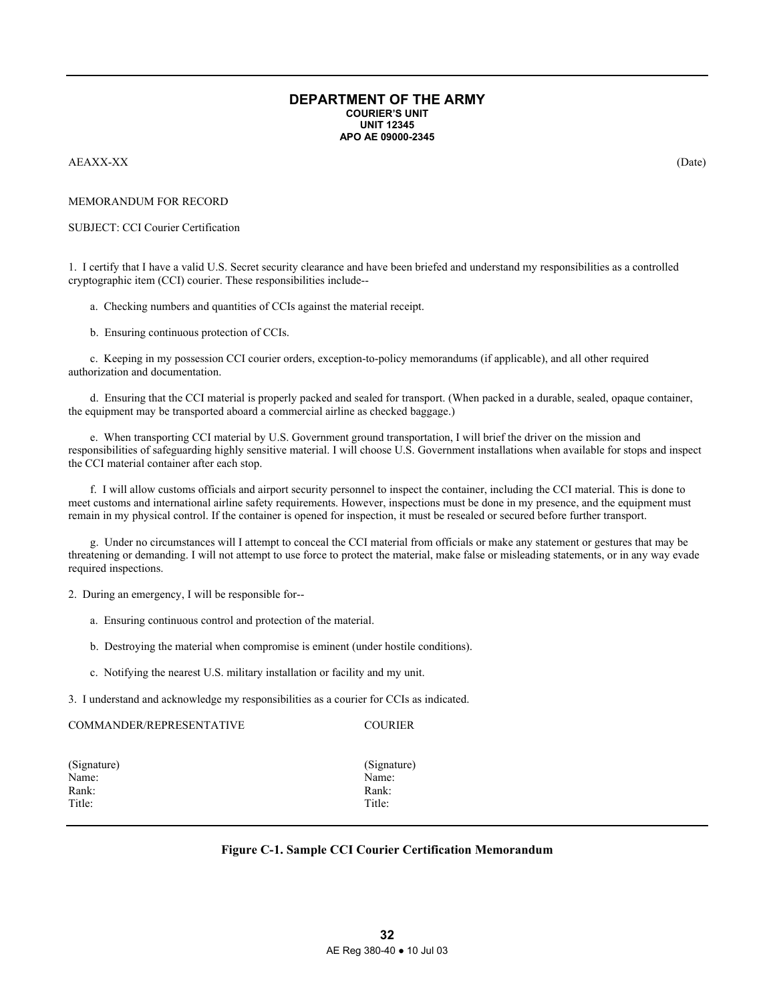#### **DEPARTMENT OF THE ARMY COURIER'S UNIT UNIT 12345 APO AE 09000-2345**

#### AEAXX-XX (Date)

#### MEMORANDUM FOR RECORD

#### SUBJECT: CCI Courier Certification

1. I certify that I have a valid U.S. Secret security clearance and have been briefed and understand my responsibilities as a controlled cryptographic item (CCI) courier. These responsibilities include--

a. Checking numbers and quantities of CCIs against the material receipt.

b. Ensuring continuous protection of CCIs.

 c. Keeping in my possession CCI courier orders, exception-to-policy memorandums (if applicable), and all other required authorization and documentation.

 d. Ensuring that the CCI material is properly packed and sealed for transport. (When packed in a durable, sealed, opaque container, the equipment may be transported aboard a commercial airline as checked baggage.)

 e. When transporting CCI material by U.S. Government ground transportation, I will brief the driver on the mission and responsibilities of safeguarding highly sensitive material. I will choose U.S. Government installations when available for stops and inspect the CCI material container after each stop.

 f. I will allow customs officials and airport security personnel to inspect the container, including the CCI material. This is done to meet customs and international airline safety requirements. However, inspections must be done in my presence, and the equipment must remain in my physical control. If the container is opened for inspection, it must be resealed or secured before further transport.

 g. Under no circumstances will I attempt to conceal the CCI material from officials or make any statement or gestures that may be threatening or demanding. I will not attempt to use force to protect the material, make false or misleading statements, or in any way evade required inspections.

2. During an emergency, I will be responsible for--

- a. Ensuring continuous control and protection of the material.
- b. Destroying the material when compromise is eminent (under hostile conditions).
- c. Notifying the nearest U.S. military installation or facility and my unit.

3. I understand and acknowledge my responsibilities as a courier for CCIs as indicated.

| COMMANDER/REPRESENTATIVE | <b>COURIER</b> |
|--------------------------|----------------|
| (Signature)              | (Signature)    |
| Name:                    | Name:          |
| Rank:                    | Rank:          |
| Title:                   | Title:         |

# **Figure C-1. Sample CCI Courier Certification Memorandum**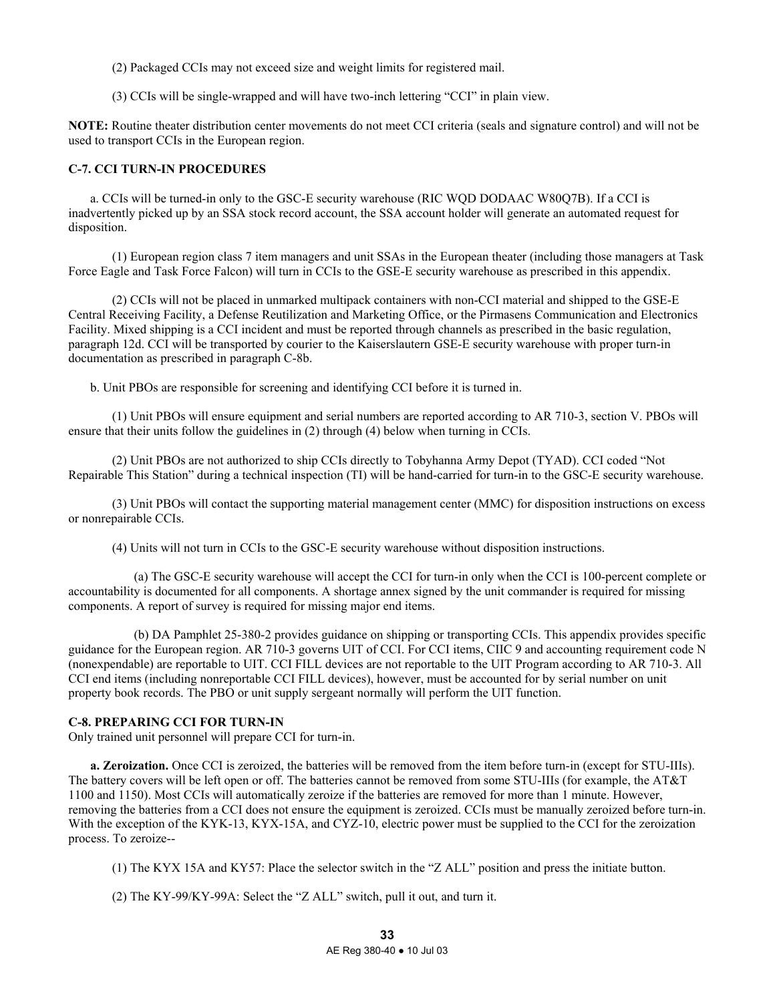(2) Packaged CCIs may not exceed size and weight limits for registered mail.

(3) CCIs will be single-wrapped and will have two-inch lettering "CCI" in plain view.

**NOTE:** Routine theater distribution center movements do not meet CCI criteria (seals and signature control) and will not be used to transport CCIs in the European region.

# **C-7. CCI TURN-IN PROCEDURES**

 a. CCIs will be turned-in only to the GSC-E security warehouse (RIC WQD DODAAC W80Q7B). If a CCI is inadvertently picked up by an SSA stock record account, the SSA account holder will generate an automated request for disposition.

 (1) European region class 7 item managers and unit SSAs in the European theater (including those managers at Task Force Eagle and Task Force Falcon) will turn in CCIs to the GSE-E security warehouse as prescribed in this appendix.

 (2) CCIs will not be placed in unmarked multipack containers with non-CCI material and shipped to the GSE-E Central Receiving Facility, a Defense Reutilization and Marketing Office, or the Pirmasens Communication and Electronics Facility. Mixed shipping is a CCI incident and must be reported through channels as prescribed in the basic regulation, paragraph 12d. CCI will be transported by courier to the Kaiserslautern GSE-E security warehouse with proper turn-in documentation as prescribed in paragraph C-8b.

b. Unit PBOs are responsible for screening and identifying CCI before it is turned in.

 (1) Unit PBOs will ensure equipment and serial numbers are reported according to AR 710-3, section V. PBOs will ensure that their units follow the guidelines in (2) through (4) below when turning in CCIs.

 (2) Unit PBOs are not authorized to ship CCIs directly to Tobyhanna Army Depot (TYAD). CCI coded "Not Repairable This Station" during a technical inspection (TI) will be hand-carried for turn-in to the GSC-E security warehouse.

 (3) Unit PBOs will contact the supporting material management center (MMC) for disposition instructions on excess or nonrepairable CCIs.

(4) Units will not turn in CCIs to the GSC-E security warehouse without disposition instructions.

 (a) The GSC-E security warehouse will accept the CCI for turn-in only when the CCI is 100-percent complete or accountability is documented for all components. A shortage annex signed by the unit commander is required for missing components. A report of survey is required for missing major end items.

 (b) DA Pamphlet 25-380-2 provides guidance on shipping or transporting CCIs. This appendix provides specific guidance for the European region. AR 710-3 governs UIT of CCI. For CCI items, CIIC 9 and accounting requirement code N (nonexpendable) are reportable to UIT. CCI FILL devices are not reportable to the UIT Program according to AR 710-3. All CCI end items (including nonreportable CCI FILL devices), however, must be accounted for by serial number on unit property book records. The PBO or unit supply sergeant normally will perform the UIT function.

# **C-8. PREPARING CCI FOR TURN-IN**

Only trained unit personnel will prepare CCI for turn-in.

**a. Zeroization.** Once CCI is zeroized, the batteries will be removed from the item before turn-in (except for STU-IIIs). The battery covers will be left open or off. The batteries cannot be removed from some STU-IIIs (for example, the AT&T 1100 and 1150). Most CCIs will automatically zeroize if the batteries are removed for more than 1 minute. However, removing the batteries from a CCI does not ensure the equipment is zeroized. CCIs must be manually zeroized before turn-in. With the exception of the KYK-13, KYX-15A, and CYZ-10, electric power must be supplied to the CCI for the zeroization process. To zeroize--

(1) The KYX 15A and KY57: Place the selector switch in the "Z ALL" position and press the initiate button.

(2) The KY-99/KY-99A: Select the "Z ALL" switch, pull it out, and turn it.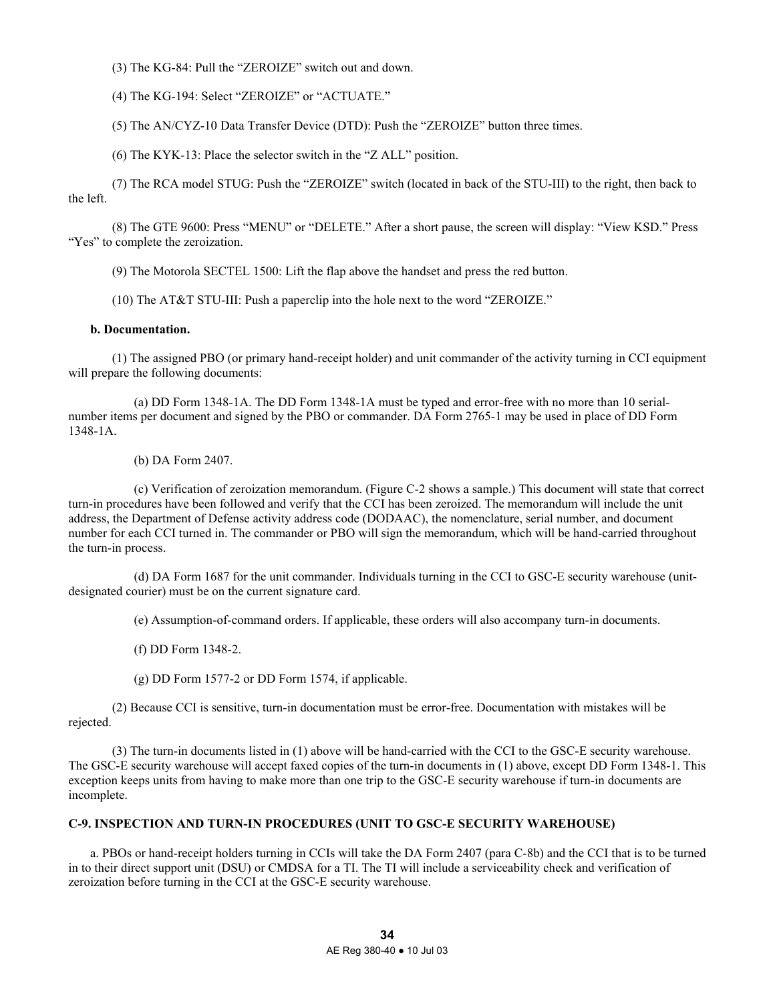- (3) The KG-84: Pull the "ZEROIZE" switch out and down.
- (4) The KG-194: Select "ZEROIZE" or "ACTUATE."
- (5) The AN/CYZ-10 Data Transfer Device (DTD): Push the "ZEROIZE" button three times.
- (6) The KYK-13: Place the selector switch in the "Z ALL" position.

 (7) The RCA model STUG: Push the "ZEROIZE" switch (located in back of the STU-III) to the right, then back to the left.

 (8) The GTE 9600: Press "MENU" or "DELETE." After a short pause, the screen will display: "View KSD." Press "Yes" to complete the zeroization.

(9) The Motorola SECTEL 1500: Lift the flap above the handset and press the red button.

(10) The AT&T STU-III: Push a paperclip into the hole next to the word "ZEROIZE."

#### **b. Documentation.**

 (1) The assigned PBO (or primary hand-receipt holder) and unit commander of the activity turning in CCI equipment will prepare the following documents:

 (a) DD Form 1348-1A. The DD Form 1348-1A must be typed and error-free with no more than 10 serialnumber items per document and signed by the PBO or commander. DA Form 2765-1 may be used in place of DD Form 1348-1A.

(b) DA Form 2407.

 (c) Verification of zeroization memorandum. (Figure C-2 shows a sample.) This document will state that correct turn-in procedures have been followed and verify that the CCI has been zeroized. The memorandum will include the unit address, the Department of Defense activity address code (DODAAC), the nomenclature, serial number, and document number for each CCI turned in. The commander or PBO will sign the memorandum, which will be hand-carried throughout the turn-in process.

 (d) DA Form 1687 for the unit commander. Individuals turning in the CCI to GSC-E security warehouse (unitdesignated courier) must be on the current signature card.

(e) Assumption-of-command orders. If applicable, these orders will also accompany turn-in documents.

(f) DD Form 1348-2.

(g) DD Form 1577-2 or DD Form 1574, if applicable.

 (2) Because CCI is sensitive, turn-in documentation must be error-free. Documentation with mistakes will be rejected.

 (3) The turn-in documents listed in (1) above will be hand-carried with the CCI to the GSC-E security warehouse. The GSC-E security warehouse will accept faxed copies of the turn-in documents in (1) above, except DD Form 1348-1. This exception keeps units from having to make more than one trip to the GSC-E security warehouse if turn-in documents are incomplete.

# **C-9. INSPECTION AND TURN-IN PROCEDURES (UNIT TO GSC-E SECURITY WAREHOUSE)**

 a. PBOs or hand-receipt holders turning in CCIs will take the DA Form 2407 (para C-8b) and the CCI that is to be turned in to their direct support unit (DSU) or CMDSA for a TI. The TI will include a serviceability check and verification of zeroization before turning in the CCI at the GSC-E security warehouse.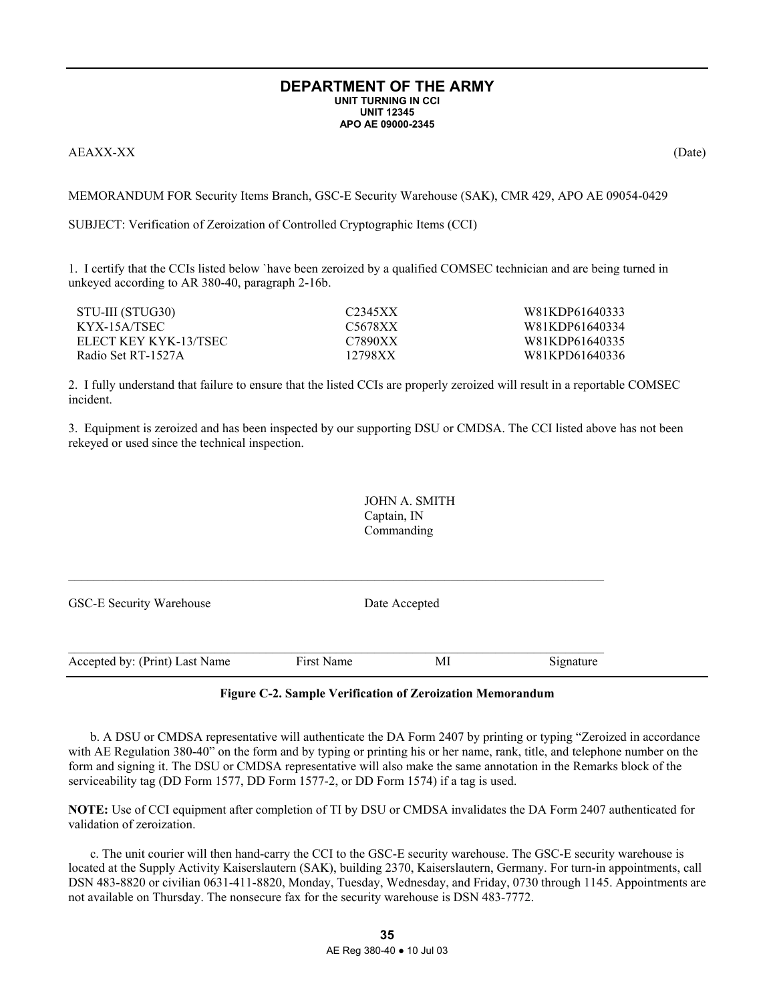#### **DEPARTMENT OF THE ARMY UNIT TURNING IN CCI UNIT 12345 APO AE 09000-2345**

AEAXX-XX (Date)

MEMORANDUM FOR Security Items Branch, GSC-E Security Warehouse (SAK), CMR 429, APO AE 09054-0429

SUBJECT: Verification of Zeroization of Controlled Cryptographic Items (CCI)

1. I certify that the CCIs listed below `have been zeroized by a qualified COMSEC technician and are being turned in unkeyed according to AR 380-40, paragraph 2-16b.

| STU-III (STUG30)      | C2345XX | W81KDP61640333 |
|-----------------------|---------|----------------|
| KYX-15A/TSEC          | C5678XX | W81KDP61640334 |
| ELECT KEY KYK-13/TSEC | C7890XX | W81KDP61640335 |
| Radio Set RT-1527A    | 12798XX | W81KPD61640336 |

2. I fully understand that failure to ensure that the listed CCIs are properly zeroized will result in a reportable COMSEC incident.

3. Equipment is zeroized and has been inspected by our supporting DSU or CMDSA. The CCI listed above has not been rekeyed or used since the technical inspection.

> JOHN A. SMITH Captain, IN Commanding

| GSC-E Security Warehouse       |            | Date Accepted |           |
|--------------------------------|------------|---------------|-----------|
|                                |            |               |           |
| Accepted by: (Print) Last Name | First Name | МI            | Signature |

 $\mathcal{L}_\text{max}$ 

# **Figure C-2. Sample Verification of Zeroization Memorandum**

 b. A DSU or CMDSA representative will authenticate the DA Form 2407 by printing or typing "Zeroized in accordance with AE Regulation 380-40" on the form and by typing or printing his or her name, rank, title, and telephone number on the form and signing it. The DSU or CMDSA representative will also make the same annotation in the Remarks block of the serviceability tag (DD Form 1577, DD Form 1577-2, or DD Form 1574) if a tag is used.

**NOTE:** Use of CCI equipment after completion of TI by DSU or CMDSA invalidates the DA Form 2407 authenticated for validation of zeroization.

 c. The unit courier will then hand-carry the CCI to the GSC-E security warehouse. The GSC-E security warehouse is located at the Supply Activity Kaiserslautern (SAK), building 2370, Kaiserslautern, Germany. For turn-in appointments, call DSN 483-8820 or civilian 0631-411-8820, Monday, Tuesday, Wednesday, and Friday, 0730 through 1145. Appointments are not available on Thursday. The nonsecure fax for the security warehouse is DSN 483-7772.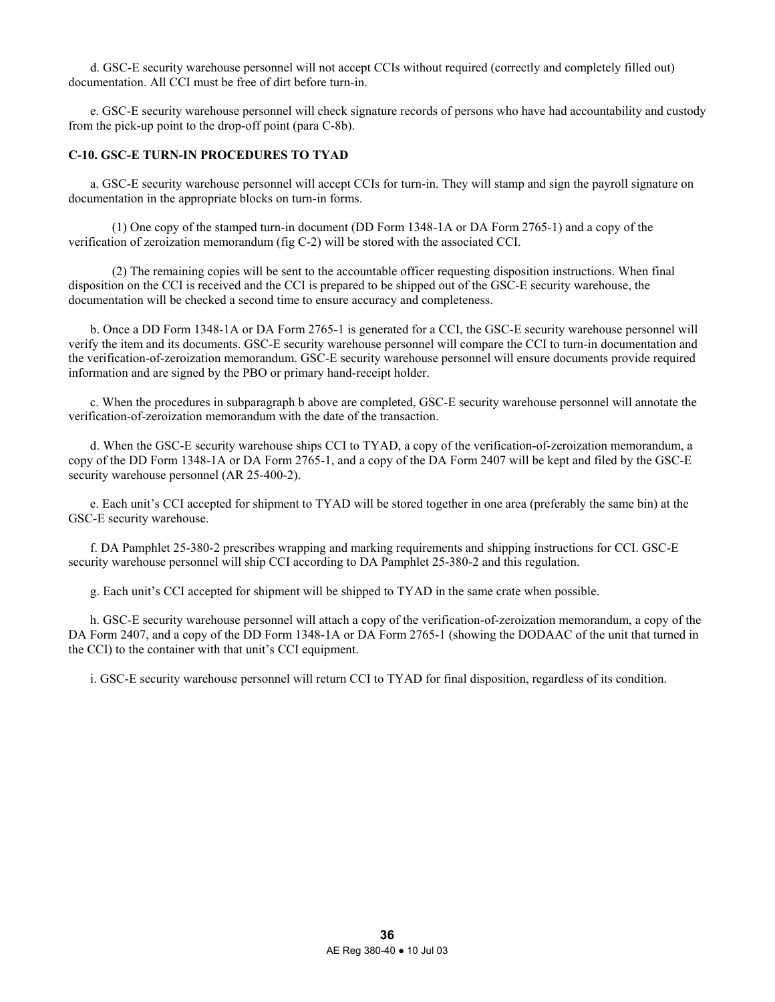d. GSC-E security warehouse personnel will not accept CCIs without required (correctly and completely filled out) documentation. All CCI must be free of dirt before turn-in.

 e. GSC-E security warehouse personnel will check signature records of persons who have had accountability and custody from the pick-up point to the drop-off point (para C-8b).

# **C-10. GSC-E TURN-IN PROCEDURES TO TYAD**

 a. GSC-E security warehouse personnel will accept CCIs for turn-in. They will stamp and sign the payroll signature on documentation in the appropriate blocks on turn-in forms.

 (1) One copy of the stamped turn-in document (DD Form 1348-1A or DA Form 2765-1) and a copy of the verification of zeroization memorandum (fig C-2) will be stored with the associated CCI.

 (2) The remaining copies will be sent to the accountable officer requesting disposition instructions. When final disposition on the CCI is received and the CCI is prepared to be shipped out of the GSC-E security warehouse, the documentation will be checked a second time to ensure accuracy and completeness.

 b. Once a DD Form 1348-1A or DA Form 2765-1 is generated for a CCI, the GSC-E security warehouse personnel will verify the item and its documents. GSC-E security warehouse personnel will compare the CCI to turn-in documentation and the verification-of-zeroization memorandum. GSC-E security warehouse personnel will ensure documents provide required information and are signed by the PBO or primary hand-receipt holder.

 c. When the procedures in subparagraph b above are completed, GSC-E security warehouse personnel will annotate the verification-of-zeroization memorandum with the date of the transaction.

 d. When the GSC-E security warehouse ships CCI to TYAD, a copy of the verification-of-zeroization memorandum, a copy of the DD Form 1348-1A or DA Form 2765-1, and a copy of the DA Form 2407 will be kept and filed by the GSC-E security warehouse personnel (AR 25-400-2).

 e. Each unit's CCI accepted for shipment to TYAD will be stored together in one area (preferably the same bin) at the GSC-E security warehouse.

 f. DA Pamphlet 25-380-2 prescribes wrapping and marking requirements and shipping instructions for CCI. GSC-E security warehouse personnel will ship CCI according to DA Pamphlet 25-380-2 and this regulation.

g. Each unit's CCI accepted for shipment will be shipped to TYAD in the same crate when possible.

 h. GSC-E security warehouse personnel will attach a copy of the verification-of-zeroization memorandum, a copy of the DA Form 2407, and a copy of the DD Form 1348-1A or DA Form 2765-1 (showing the DODAAC of the unit that turned in the CCI) to the container with that unit's CCI equipment.

i. GSC-E security warehouse personnel will return CCI to TYAD for final disposition, regardless of its condition.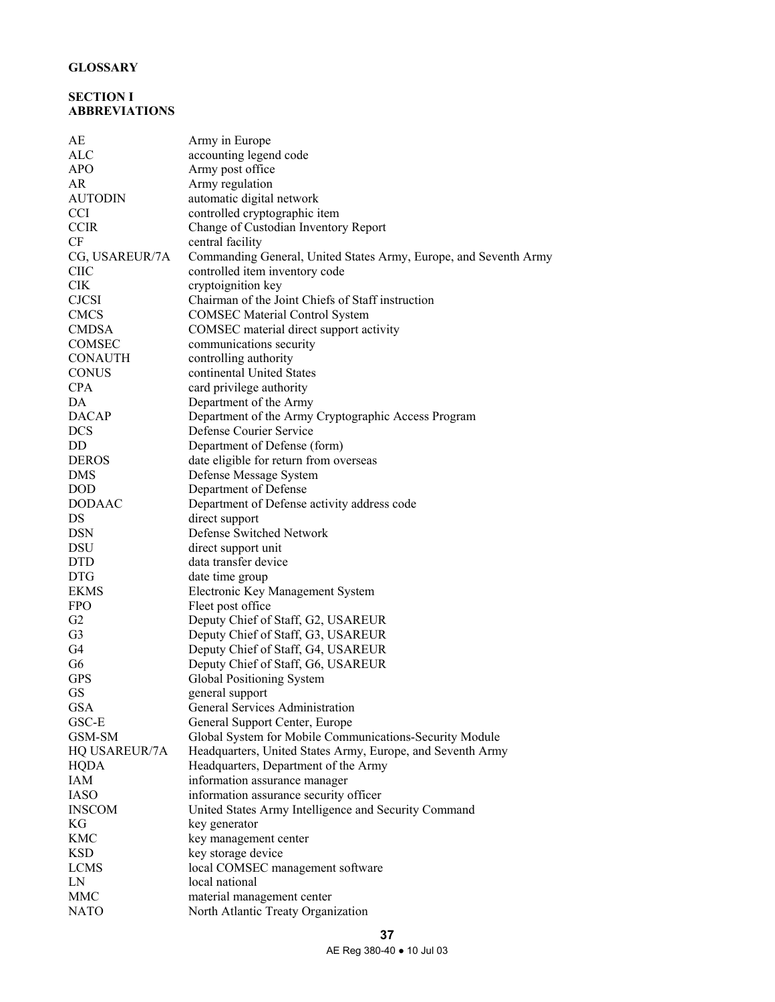# **GLOSSARY**

# **SECTION I ABBREVIATIONS**

| AЕ             | Army in Europe                                                   |
|----------------|------------------------------------------------------------------|
| ALC            | accounting legend code                                           |
| <b>APO</b>     | Army post office                                                 |
| <b>AR</b>      | Army regulation                                                  |
| <b>AUTODIN</b> | automatic digital network                                        |
| <b>CCI</b>     | controlled cryptographic item                                    |
| <b>CCIR</b>    | Change of Custodian Inventory Report                             |
| CF             | central facility                                                 |
| CG, USAREUR/7A | Commanding General, United States Army, Europe, and Seventh Army |
| <b>CIIC</b>    | controlled item inventory code                                   |
| <b>CIK</b>     | cryptoignition key                                               |
| <b>CJCSI</b>   | Chairman of the Joint Chiefs of Staff instruction                |
| <b>CMCS</b>    | <b>COMSEC Material Control System</b>                            |
| <b>CMDSA</b>   | COMSEC material direct support activity                          |
| COMSEC         | communications security                                          |
| CONAUTH        | controlling authority                                            |
| <b>CONUS</b>   | continental United States                                        |
| <b>CPA</b>     | card privilege authority                                         |
| DA             | Department of the Army                                           |
| <b>DACAP</b>   | Department of the Army Cryptographic Access Program              |
|                |                                                                  |
| <b>DCS</b>     | Defense Courier Service                                          |
| DD             | Department of Defense (form)                                     |
| <b>DEROS</b>   | date eligible for return from overseas                           |
| <b>DMS</b>     | Defense Message System                                           |
| <b>DOD</b>     | Department of Defense                                            |
| <b>DODAAC</b>  | Department of Defense activity address code                      |
| DS             | direct support                                                   |
| <b>DSN</b>     | Defense Switched Network                                         |
| DSU            | direct support unit                                              |
| <b>DTD</b>     | data transfer device                                             |
| <b>DTG</b>     | date time group                                                  |
| <b>EKMS</b>    | Electronic Key Management System                                 |
| <b>FPO</b>     | Fleet post office                                                |
| G2             | Deputy Chief of Staff, G2, USAREUR                               |
| G <sub>3</sub> | Deputy Chief of Staff, G3, USAREUR                               |
| G4             | Deputy Chief of Staff, G4, USAREUR                               |
| G <sub>6</sub> | Deputy Chief of Staff, G6, USAREUR                               |
| <b>GPS</b>     | Global Positioning System                                        |
| <b>GS</b>      | general support                                                  |
| <b>GSA</b>     | <b>General Services Administration</b>                           |
| GSC-E          | General Support Center, Europe                                   |
| GSM-SM         | Global System for Mobile Communications-Security Module          |
| HQ USAREUR/7A  | Headquarters, United States Army, Europe, and Seventh Army       |
| <b>HQDA</b>    | Headquarters, Department of the Army                             |
| IAM            | information assurance manager                                    |
| <b>IASO</b>    | information assurance security officer                           |
| <b>INSCOM</b>  | United States Army Intelligence and Security Command             |
| KG             | key generator                                                    |
| <b>KMC</b>     | key management center                                            |
| <b>KSD</b>     | key storage device                                               |
| <b>LCMS</b>    | local COMSEC management software                                 |
| LN             | local national                                                   |
| <b>MMC</b>     | material management center                                       |
| <b>NATO</b>    | North Atlantic Treaty Organization                               |
|                |                                                                  |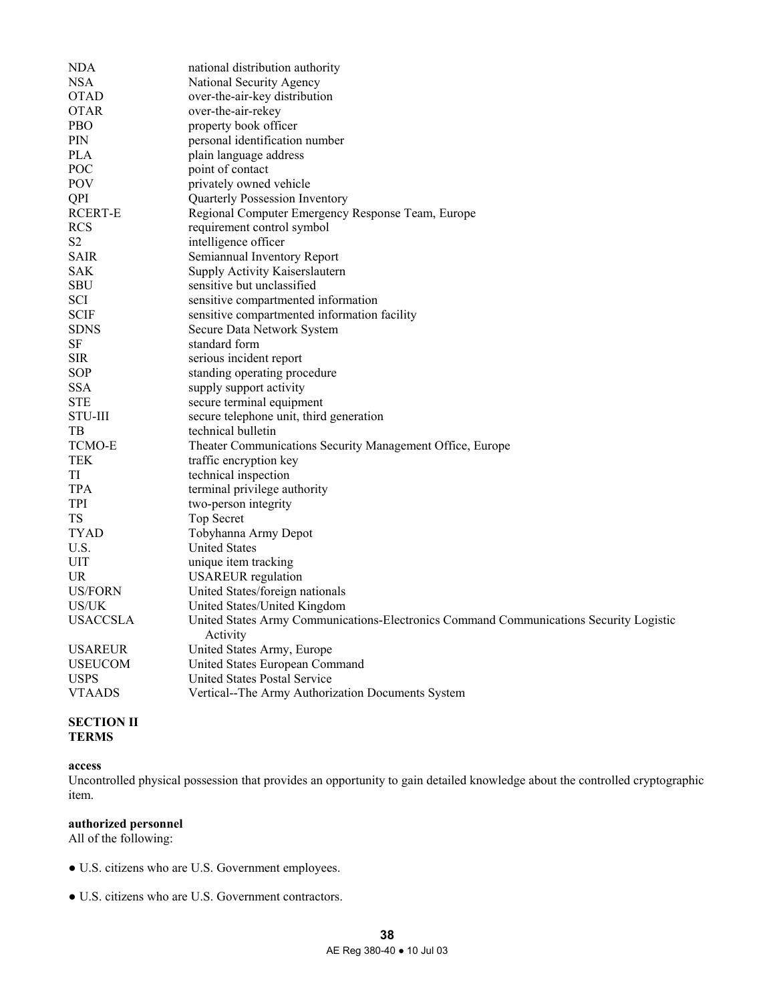| NDA                           | national distribution authority                                                        |
|-------------------------------|----------------------------------------------------------------------------------------|
| <b>NSA</b>                    | National Security Agency                                                               |
| <b>OTAD</b>                   | over-the-air-key distribution                                                          |
| <b>OTAR</b>                   | over-the-air-rekey                                                                     |
| <b>PBO</b>                    | property book officer                                                                  |
| <b>PIN</b>                    | personal identification number                                                         |
| <b>PLA</b>                    | plain language address                                                                 |
| <b>POC</b>                    | point of contact                                                                       |
| <b>POV</b>                    | privately owned vehicle                                                                |
| QPI                           | Quarterly Possession Inventory                                                         |
| RCERT-E                       | Regional Computer Emergency Response Team, Europe                                      |
| RCS                           | requirement control symbol                                                             |
| S <sub>2</sub>                | intelligence officer                                                                   |
| <b>SAIR</b>                   | Semiannual Inventory Report                                                            |
| <b>SAK</b>                    | Supply Activity Kaiserslautern                                                         |
| <b>SBU</b>                    | sensitive but unclassified                                                             |
| SCI                           | sensitive compartmented information                                                    |
| <b>SCIF</b>                   | sensitive compartmented information facility                                           |
| <b>SDNS</b>                   | Secure Data Network System                                                             |
| SF                            | standard form                                                                          |
| <b>SIR</b>                    | serious incident report                                                                |
| SOP                           | standing operating procedure                                                           |
| <b>SSA</b>                    | supply support activity                                                                |
| <b>STE</b>                    | secure terminal equipment                                                              |
| <b>STU-III</b>                | secure telephone unit, third generation                                                |
| TВ                            | technical bulletin                                                                     |
| <b>TCMO-E</b>                 | Theater Communications Security Management Office, Europe                              |
| TEK                           | traffic encryption key                                                                 |
| TI                            | technical inspection                                                                   |
| <b>TPA</b>                    | terminal privilege authority                                                           |
| TPI                           | two-person integrity                                                                   |
| TS                            | Top Secret                                                                             |
| TYAD                          | Tobyhanna Army Depot                                                                   |
| U.S.                          | <b>United States</b>                                                                   |
| UIT                           | unique item tracking                                                                   |
| UR.                           | <b>USAREUR</b> regulation                                                              |
| US/FORN                       | United States/foreign nationals                                                        |
| US/UK                         | United States/United Kingdom                                                           |
| <b>USACCSLA</b>               | United States Army Communications-Electronics Command Communications Security Logistic |
|                               | Activity                                                                               |
| <b>USAREUR</b>                | United States Army, Europe                                                             |
| <b>USEUCOM</b><br><b>USPS</b> | United States European Command                                                         |
|                               | United States Postal Service                                                           |
| <b>VTAADS</b>                 | Vertical--The Army Authorization Documents System                                      |

# **SECTION II TERMS**

## **access**

Uncontrolled physical possession that provides an opportunity to gain detailed knowledge about the controlled cryptographic item.

#### **authorized personnel**

All of the following:

- U.S. citizens who are U.S. Government employees.
- U.S. citizens who are U.S. Government contractors.